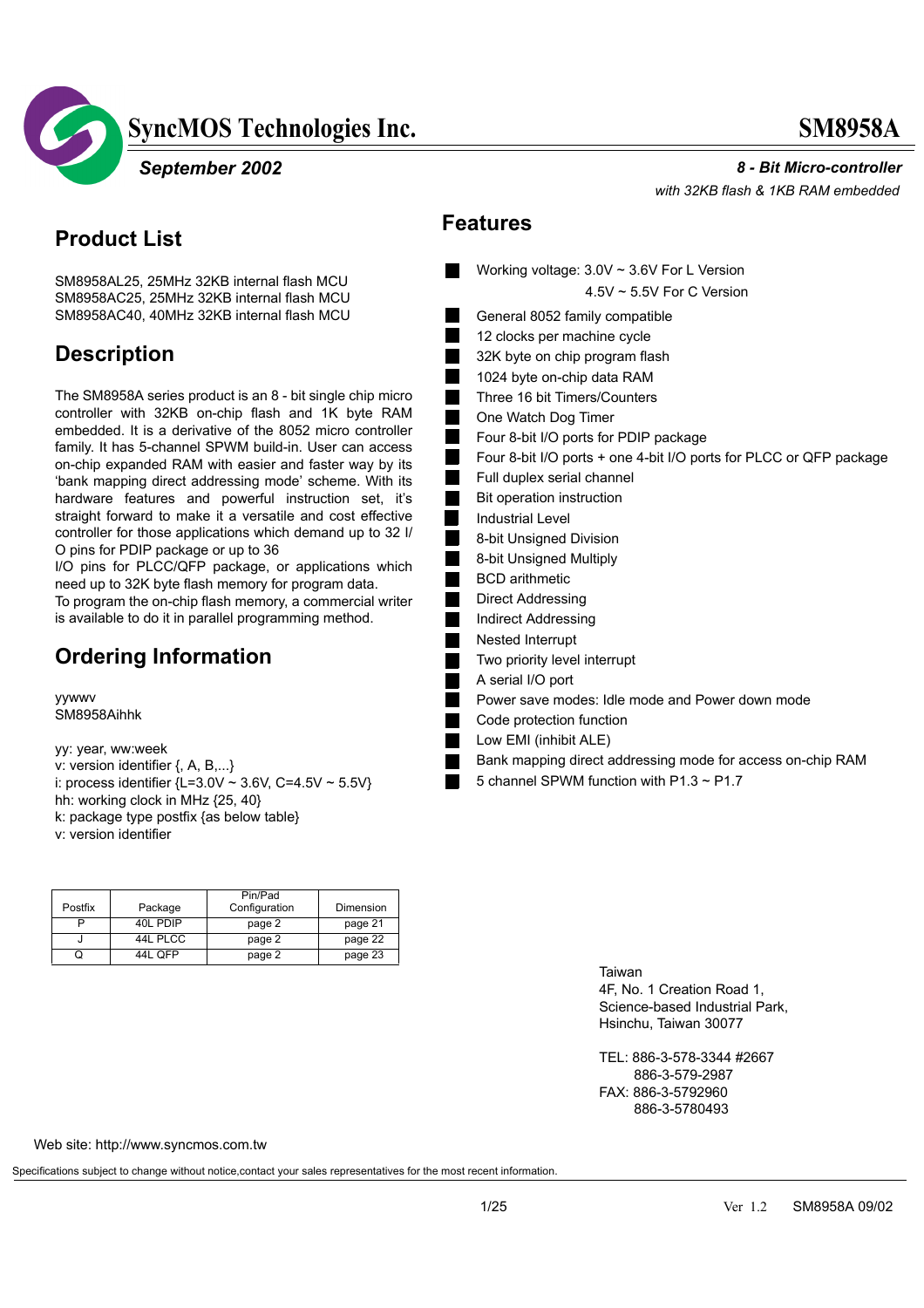



#### **Product List**

SM8958AL25, 25MHz 32KB internal flash MCU SM8958AC25, 25MHz 32KB internal flash MCU SM8958AC40, 40MHz 32KB internal flash MCU

#### **Description**

The SM8958A series product is an 8 - bit single chip micro controller with 32KB on-chip flash and 1K byte RAM embedded. It is a derivative of the 8052 micro controller family. It has 5-channel SPWM build-in. User can access on-chip expanded RAM with easier and faster way by its 'bank mapping direct addressing mode' scheme. With its hardware features and powerful instruction set, it's straight forward to make it a versatile and cost effective controller for those applications which demand up to 32 I/ O pins for PDIP package or up to 36

I/O pins for PLCC/QFP package, or applications which need up to 32K byte flash memory for program data. To program the on-chip flash memory, a commercial writer is available to do it in parallel programming method.

### **Ordering Information**

yywwv SM8958Aihhk

yy: year, ww:week v: version identifier {, A, B,...} i: process identifier  ${L=3.0V \sim 3.6V, C=4.5V \sim 5.5V}$ hh: working clock in MHz {25, 40} k: package type postfix {as below table} v: version identifier

| Postfix | Package  | Pin/Pad<br>Configuration | Dimension |
|---------|----------|--------------------------|-----------|
|         | 40L PDIP | page 2                   | page 21   |
|         | 44L PLCC | page 2                   | page 22   |
|         | 44L OFP  | page 2                   | page 23   |

 *8 - Bit Micro-controller*

 *with 32KB flash & 1KB RAM embedded* 

#### **Features**

- Working voltage: 3.0V ~ 3.6V For L Version 4.5V ~ 5.5V For C Version
- General 8052 family compatible 12 clocks per machine cycle
- 32K byte on chip program flash
- 1024 byte on-chip data RAM
- Three 16 bit Timers/Counters
- One Watch Dog Timer
- Four 8-bit I/O ports for PDIP package
- Four 8-bit I/O ports + one 4-bit I/O ports for PLCC or QFP package
- Full duplex serial channel
- Bit operation instruction
- Industrial Level

 $\blacksquare$ L.

- 8-bit Unsigned Division
- 8-bit Unsigned Multiply
- BCD arithmetic
- Direct Addressing
- Indirect Addressing
- Nested Interrupt
- Two priority level interrupt
- A serial I/O port
- Power save modes: Idle mode and Power down mode
- Code protection function
- Low EMI (inhibit ALE)
- Bank mapping direct addressing mode for access on-chip RAM
- 5 channel SPWM function with P1.3 ~ P1.7

Taiwan 4F, No. 1 Creation Road 1, Science-based Industrial Park, Hsinchu, Taiwan 30077

TEL: 886-3-578-3344 #2667 886-3-579-2987 FAX: 886-3-5792960 886-3-5780493

Web site: http://www.syncmos.com.tw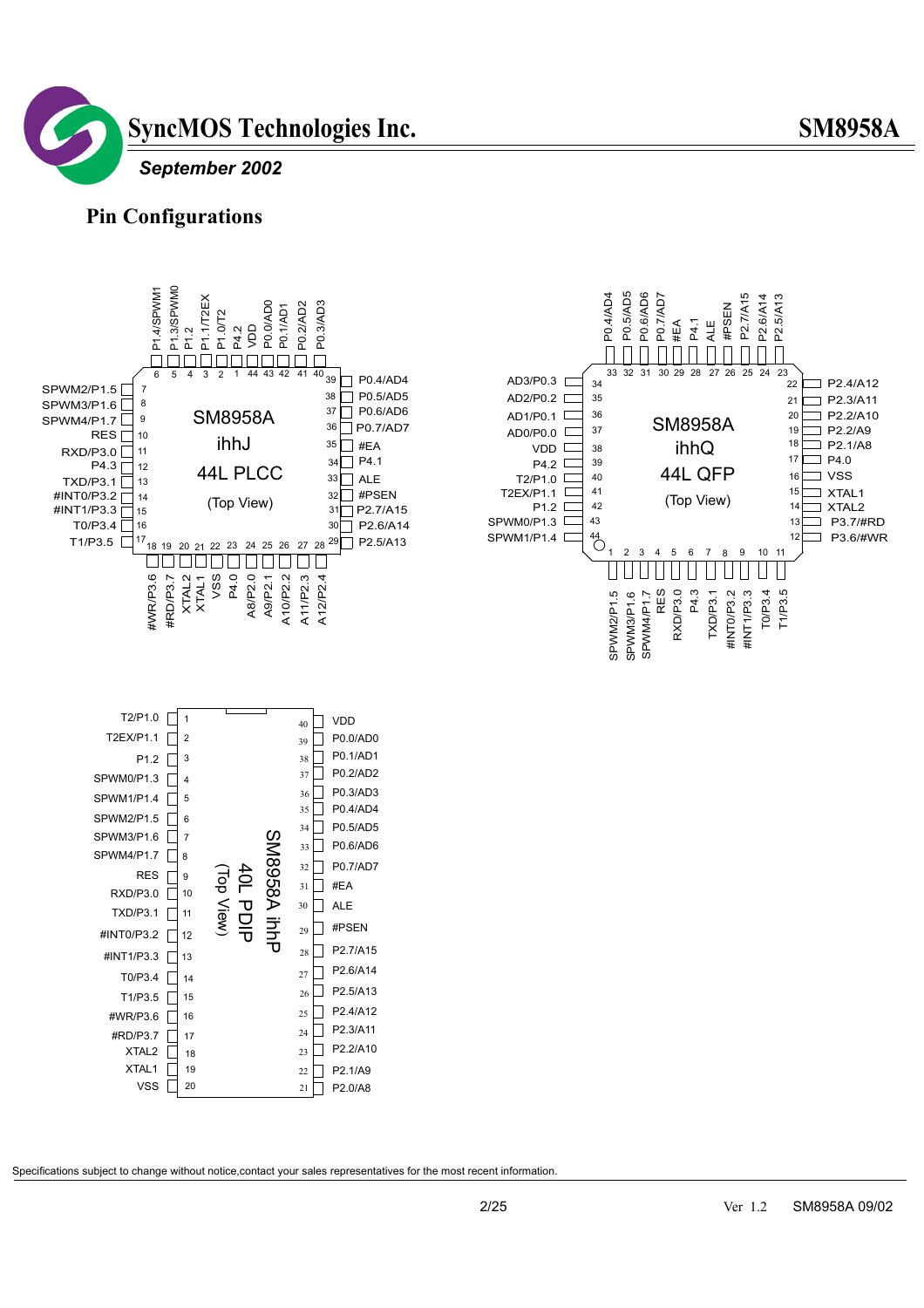

#### **Pin Configurations**





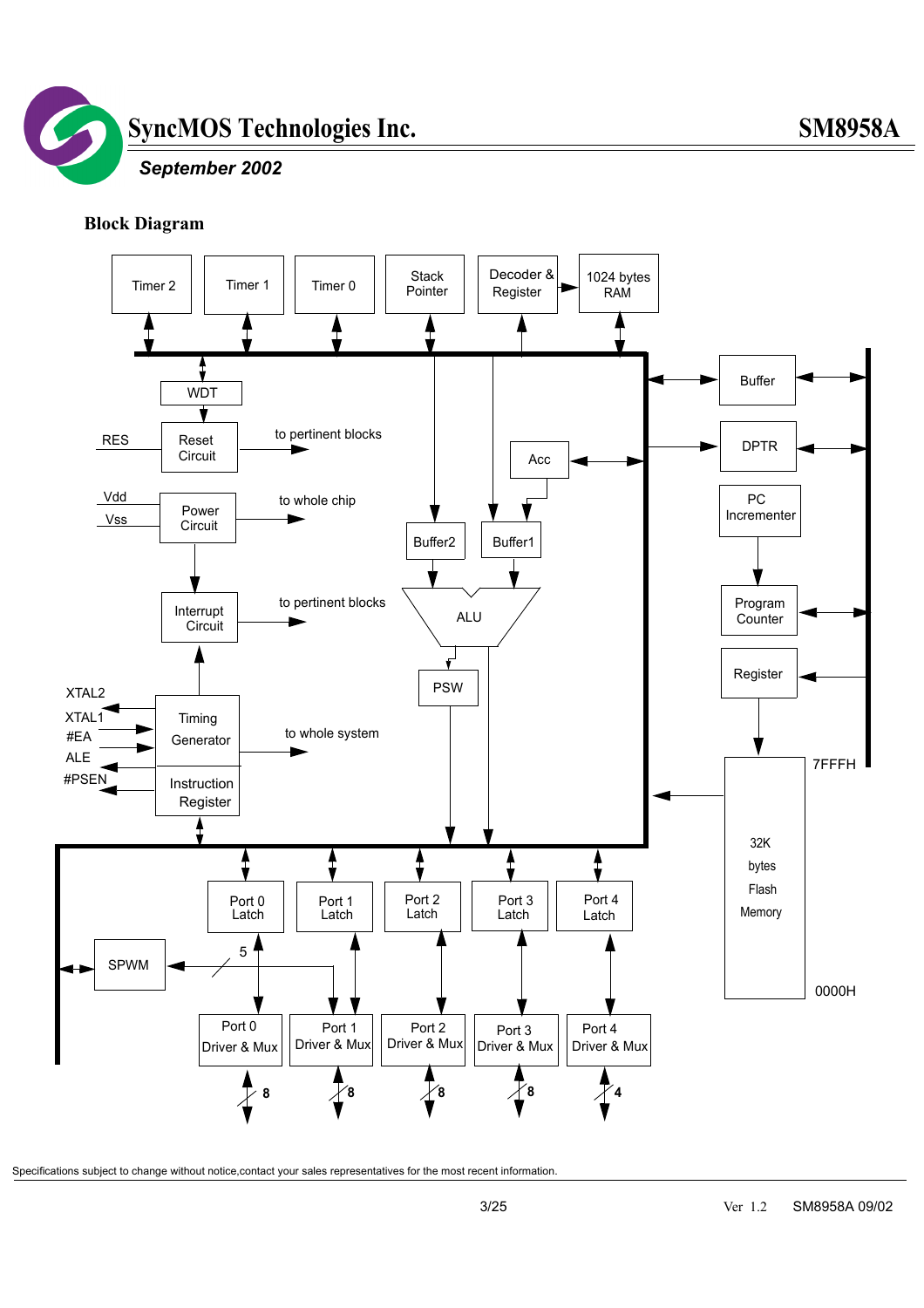

#### **Block Diagram**

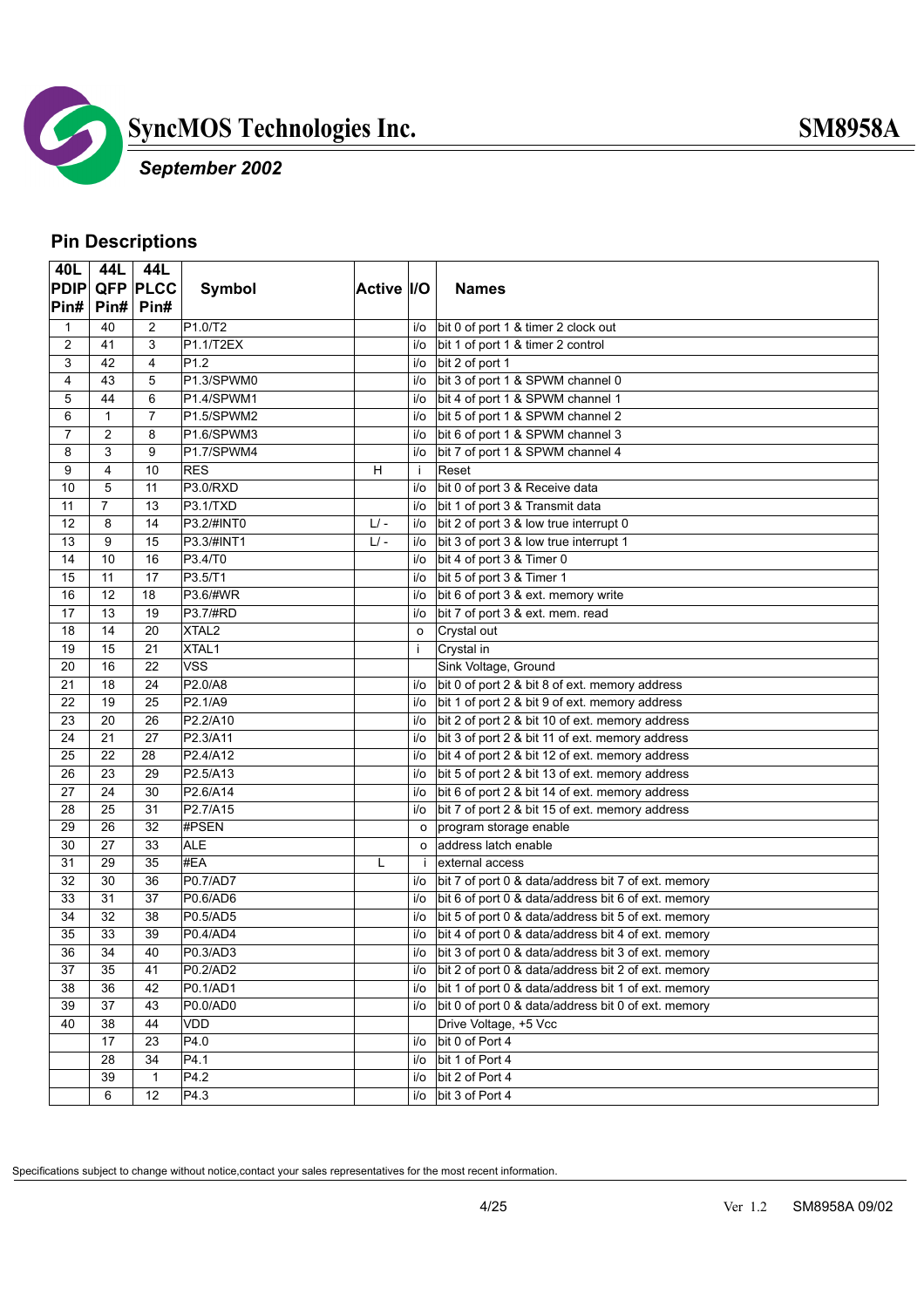

### *September 2002*

#### **Pin Descriptions**

| 40L            |                | 44L 44L         |                         |            |              |                                                     |
|----------------|----------------|-----------------|-------------------------|------------|--------------|-----------------------------------------------------|
| <b>PDIP</b>    |                | <b>QFP PLCC</b> | <b>Symbol</b>           | Active I/O |              | <b>Names</b>                                        |
| Pin#           |                | Pin# Pin#       |                         |            |              |                                                     |
| 1              | 40             | $\overline{2}$  | P1.0/T2                 |            | i/o          | bit 0 of port 1 & timer 2 clock out                 |
| $\overline{2}$ | 41             | 3               | P1.1/T2EX               |            | i/o          | bit 1 of port 1 & timer 2 control                   |
| 3              | 42             | 4               | P <sub>1.2</sub>        |            | i/o          | bit 2 of port 1                                     |
| 4              | 43             | 5               | P1.3/SPWM0              |            | i/o          | bit 3 of port 1 & SPWM channel 0                    |
| 5              | 44             | 6               | P1.4/SPWM1              |            | i/o          | bit 4 of port 1 & SPWM channel 1                    |
| 6              | $\mathbf{1}$   | $\overline{7}$  | P1.5/SPWM2              |            | i/o          | bit 5 of port 1 & SPWM channel 2                    |
| 7              | 2              | 8               | P1.6/SPWM3              |            | i/o          | bit 6 of port 1 & SPWM channel 3                    |
| 8              | 3              | 9               | P1.7/SPWM4              |            | i/o          | bit 7 of port 1 & SPWM channel 4                    |
| 9              | 4              | 10              | <b>RES</b>              | н          | -i           | Reset                                               |
| 10             | 5              | 11              | P3.0/RXD                |            | i/o          | bit 0 of port 3 & Receive data                      |
| 11             | $\overline{7}$ | 13              | P3.1/TXD                |            | i/o          | bit 1 of port 3 & Transmit data                     |
| 12             | 8              | 14              | P3.2/#INT0              | $L$ -      | i/o          | bit 2 of port 3 & low true interrupt 0              |
| 13             | 9              | 15              | P3.3/#INT1              | $L$ -      | i/o          | bit 3 of port 3 & low true interrupt 1              |
| 14             | 10             | 16              | P3.4/T0                 |            | i/o          | bit 4 of port 3 & Timer 0                           |
| 15             | 11             | 17              | P3.5/T1                 |            | i/o          | bit 5 of port 3 & Timer 1                           |
| 16             | 12             | 18              | P3.6/#WR                |            | i/o          | bit 6 of port 3 & ext. memory write                 |
| 17             | 13             | 19              | P3.7/#RD                |            | i/o          | bit 7 of port 3 & ext. mem. read                    |
| 18             | 14             | 20              | XTAL <sub>2</sub>       |            | $\circ$      | Crystal out                                         |
| 19             | 15             | 21              | XTAL1                   |            | j.           | Crystal in                                          |
| 20             | 16             | 22              | $\overline{\text{VSS}}$ |            |              | Sink Voltage, Ground                                |
| 21             | 18             | 24              | P2.0/A8                 |            | i/o          | bit 0 of port 2 & bit 8 of ext. memory address      |
| 22             | 19             | 25              | P2.1/A9                 |            | i/o          | bit 1 of port 2 & bit 9 of ext. memory address      |
| 23             | 20             | 26              | P2.2/A10                |            | i/o          | bit 2 of port 2 & bit 10 of ext. memory address     |
| 24             | 21             | 27              | P2.3/A11                |            | i/o          | bit 3 of port 2 & bit 11 of ext. memory address     |
| 25             | 22             | 28              | P2.4/A12                |            | i/o          | bit 4 of port 2 & bit 12 of ext. memory address     |
| 26             | 23             | 29              | P2.5/A13                |            | i/o          | bit 5 of port 2 & bit 13 of ext. memory address     |
| 27             | 24             | 30              | P2.6/A14                |            | i/o          | bit 6 of port 2 & bit 14 of ext. memory address     |
| 28             | 25             | 31              | P2.7/A15                |            | i/o          | bit 7 of port 2 & bit 15 of ext. memory address     |
| 29             | 26             | 32              | #PSEN                   |            | $\circ$      | program storage enable                              |
| 30             | 27             | 33              | <b>ALE</b>              |            | $\circ$      | address latch enable                                |
| 31             | 29             | 35              | #EA                     | L          | $\mathbf{i}$ | external access                                     |
| 32             | 30             | 36              | P0.7/AD7                |            | i/o          | bit 7 of port 0 & data/address bit 7 of ext. memory |
| 33             | 31             | 37              | P0.6/AD6                |            | i/o          | bit 6 of port 0 & data/address bit 6 of ext. memory |
| 34             | 32             | 38              | P0.5/AD5                |            | i/o          | bit 5 of port 0 & data/address bit 5 of ext. memory |
| 35             | 33             | 39              | P0.4/AD4                |            | i/o          | bit 4 of port 0 & data/address bit 4 of ext. memory |
| 36             | 34             | 40              | P0.3/AD3                |            | i/o          | bit 3 of port 0 & data/address bit 3 of ext. memory |
| 37             | 35             | 41              | P0.2/AD2                |            | i/o          | bit 2 of port 0 & data/address bit 2 of ext. memory |
| 38             | 36             | 42              | P0.1/AD1                |            | i/o          | bit 1 of port 0 & data/address bit 1 of ext. memory |
| 39             | 37             | 43              | P0.0/AD0                |            | i/o          | bit 0 of port 0 & data/address bit 0 of ext. memory |
| 40             | 38             | 44              | VDD                     |            |              | Drive Voltage, +5 Vcc                               |
|                | 17             | 23              | P4.0                    |            | i/o          | bit 0 of Port 4                                     |
|                | 28             | 34              | P4.1                    |            | i/o          | bit 1 of Port 4                                     |
|                | 39             | $\mathbf{1}$    | P4.2                    |            | i/o          | bit 2 of Port 4                                     |
|                | 6              | 12              | P4.3                    |            | i/o          | bit 3 of Port 4                                     |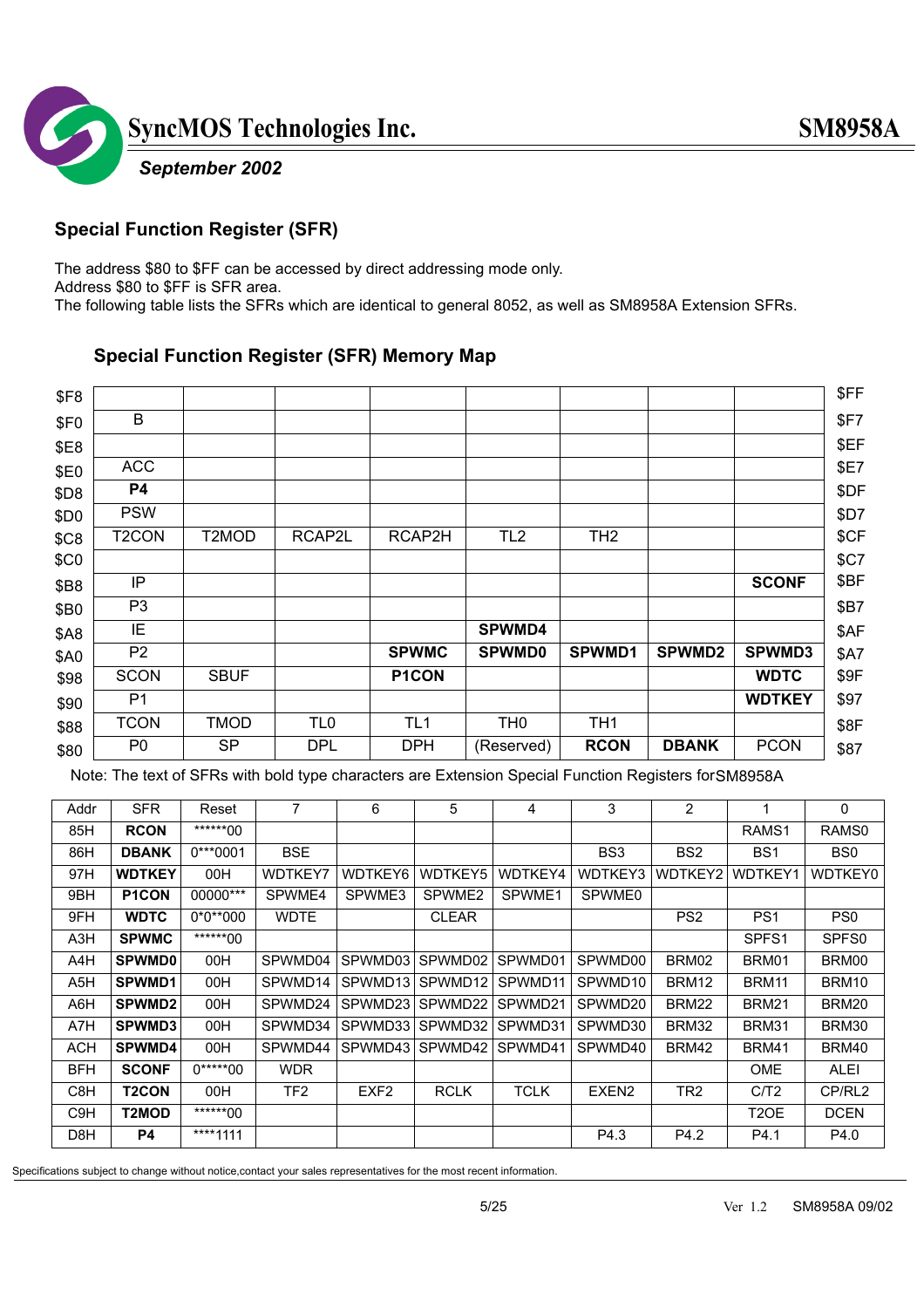

#### **Special Function Register (SFR)**

The address \$80 to \$FF can be accessed by direct addressing mode only. Address \$80 to \$FF is SFR area. The following table lists the SFRs which are identical to general 8052, as well as SM8958A Extension SFRs.

#### **Special Function Register (SFR) Memory Map**

| \$F8             |                    |             |                 |                 |                 |                 |               |               | \$FF        |
|------------------|--------------------|-------------|-----------------|-----------------|-----------------|-----------------|---------------|---------------|-------------|
| \$F <sub>0</sub> | B                  |             |                 |                 |                 |                 |               |               | \$F7        |
| \$E8             |                    |             |                 |                 |                 |                 |               |               | \$EF        |
| \$E0             | <b>ACC</b>         |             |                 |                 |                 |                 |               |               | <b>\$E7</b> |
| \$D8             | P4                 |             |                 |                 |                 |                 |               |               | \$DF        |
| \$D0             | <b>PSW</b>         |             |                 |                 |                 |                 |               |               | <b>\$D7</b> |
| \$C8             | T <sub>2</sub> CON | T2MOD       | RCAP2L          | RCAP2H          | TL <sub>2</sub> | TH <sub>2</sub> |               |               | \$CF        |
| \$C <sub>0</sub> |                    |             |                 |                 |                 |                 |               |               | \$C7        |
| <b>\$B8</b>      | IP                 |             |                 |                 |                 |                 |               | <b>SCONF</b>  | \$BF        |
| \$B0             | P <sub>3</sub>     |             |                 |                 |                 |                 |               |               | <b>\$B7</b> |
| <b>\$A8</b>      | IE                 |             |                 |                 | <b>SPWMD4</b>   |                 |               |               | \$AF        |
| \$A0             | P <sub>2</sub>     |             |                 | <b>SPWMC</b>    | <b>SPWMD0</b>   | SPWMD1          | <b>SPWMD2</b> | <b>SPWMD3</b> | <b>\$A7</b> |
| \$98             | <b>SCON</b>        | <b>SBUF</b> |                 | P1CON           |                 |                 |               | <b>WDTC</b>   | \$9F        |
| \$90             | P <sub>1</sub>     |             |                 |                 |                 |                 |               | <b>WDTKEY</b> | \$97        |
| \$88             | <b>TCON</b>        | <b>TMOD</b> | TL <sub>0</sub> | TL <sub>1</sub> | TH <sub>0</sub> | TH <sub>1</sub> |               |               | \$8F        |
| \$80             | P <sub>0</sub>     | SP.         | <b>DPL</b>      | <b>DPH</b>      | (Reserved)      | <b>RCON</b>     | <b>DBANK</b>  | <b>PCON</b>   | \$87        |

Note: The text of SFRs with bold type characters are Extension Special Function Registers for SM8958A

| Addr             | SFR.               | Reset      | 7           | 6                | 5                  | 4           | 3                 | $\overline{2}$  | 1                 | 0                 |
|------------------|--------------------|------------|-------------|------------------|--------------------|-------------|-------------------|-----------------|-------------------|-------------------|
| 85H              | <b>RCON</b>        | ******00   |             |                  |                    |             |                   |                 | RAMS <sub>1</sub> | RAMS <sub>0</sub> |
| 86H              | <b>DBANK</b>       | $0***0001$ | <b>BSE</b>  |                  |                    |             | BS <sub>3</sub>   | BS <sub>2</sub> | BS <sub>1</sub>   | BS <sub>0</sub>   |
| 97H              | <b>WDTKEY</b>      | 00H        | WDTKEY7     | WDTKEY6          | <b>WDTKEY5</b>     | WDTKEY4     | <b>WDTKEY3</b>    | WDTKEY2         | <b>WDTKEY1</b>    | WDTKEY0           |
| 9BH              | P <sub>1</sub> CON | 00000***   | SPWME4      | SPWME3           | SPWME <sub>2</sub> | SPWME1      | SPWME0            |                 |                   |                   |
| 9FH              | <b>WDTC</b>        | $0*0**000$ | <b>WDTE</b> |                  | <b>CLEAR</b>       |             |                   | PS <sub>2</sub> | PS <sub>1</sub>   | PS <sub>0</sub>   |
| A <sub>3</sub> H | <b>SPWMC</b>       | ******00   |             |                  |                    |             |                   |                 | SPFS <sub>1</sub> | SPFS <sub>0</sub> |
| A4H              | <b>SPWMD0</b>      | 00H        | SPWMD04     | SPWMD03          | SPWMD02            | SPWMD01     | SPWMD00           | BRM02           | BRM01             | BRM00             |
| A <sub>5</sub> H | <b>SPWMD1</b>      | 00H        | SPWMD14     | SPWMD13          | SPWMD12            | SPWMD11     | SPWMD10           | BRM12           | BRM11             | BRM10             |
| A6H              | <b>SPWMD2</b>      | 00H        | SPWMD24     | SPWMD23          | SPWMD22            | SPWMD21     | SPWMD20           | BRM22           | <b>BRM21</b>      | BRM20             |
| A7H              | SPWMD3             | 00H        | SPWMD34     | SPWMD33          | SPWMD32            | SPWMD31     | SPWMD30           | BRM32           | BRM31             | BRM30             |
| ACH              | SPWMD4             | 00H        | SPWMD44     | SPWMD43          | SPWMD42 SPWMD41    |             | SPWMD40           | BRM42           | <b>BRM41</b>      | BRM40             |
| <b>BFH</b>       | <b>SCONF</b>       | $0****00$  | <b>WDR</b>  |                  |                    |             |                   |                 | <b>OME</b>        | ALEI              |
| C8H              | <b>T2CON</b>       | 00H        | TF2         | EXF <sub>2</sub> | <b>RCLK</b>        | <b>TCLK</b> | EXEN <sub>2</sub> | TR <sub>2</sub> | C/T2              | CP/RL2            |
| C <sub>9</sub> H | T2MOD              | ******00   |             |                  |                    |             |                   |                 | T2OE              | <b>DCEN</b>       |
| D <sub>8</sub> H | <b>P4</b>          | ****1111   |             |                  |                    |             | P4.3              | P4.2            | P4.1              | P4.0              |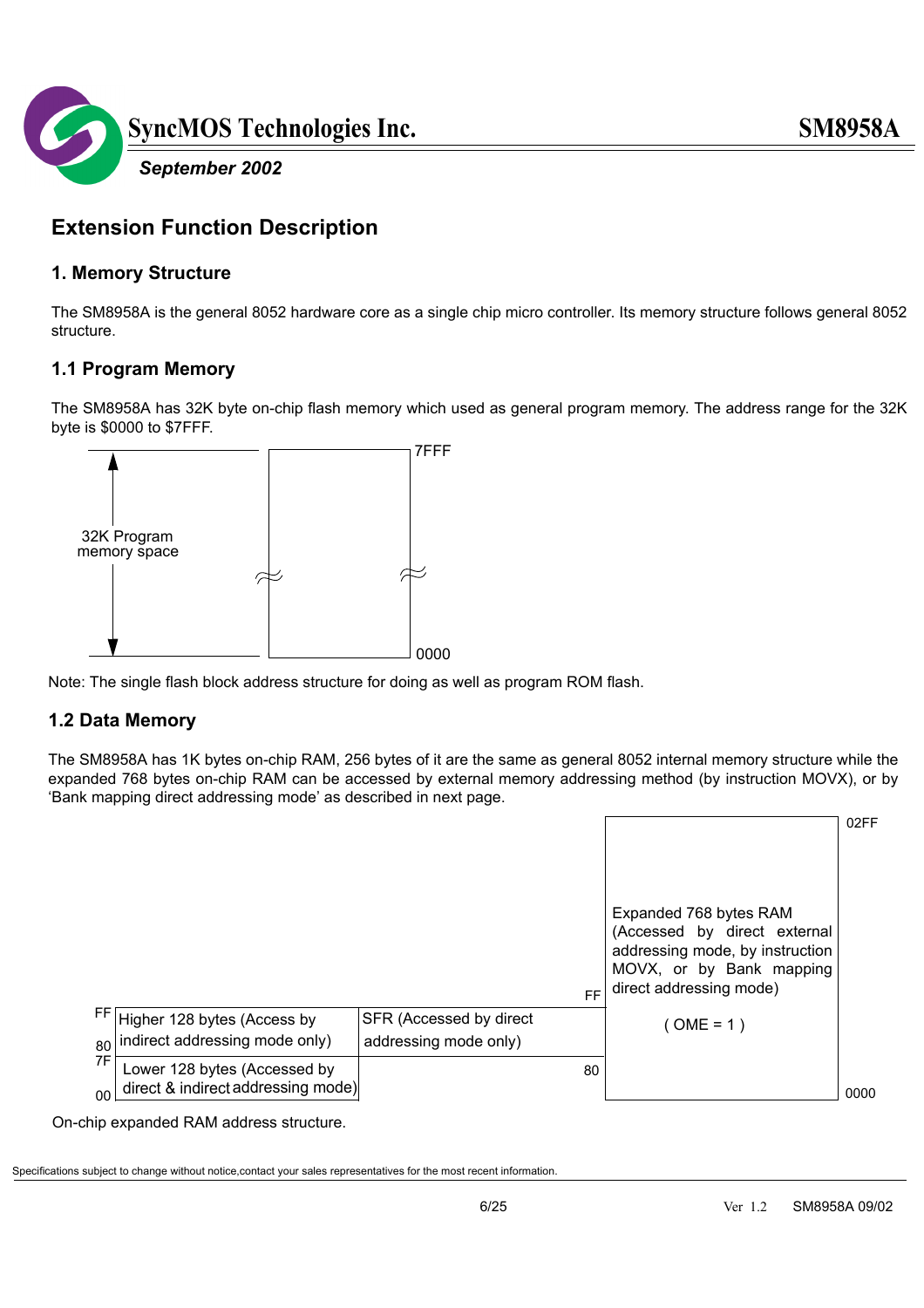

### **Extension Function Description**

#### **1. Memory Structure**

The SM8958A is the general 8052 hardware core as a single chip micro controller. Its memory structure follows general 8052 structure.

#### **1.1 Program Memory**

The SM8958A has 32K byte on-chip flash memory which used as general program memory. The address range for the 32K byte is \$0000 to \$7FFF.



Note: The single flash block address structure for doing as well as program ROM flash.

#### **1.2 Data Memory**

The SM8958A has 1K bytes on-chip RAM, 256 bytes of it are the same as general 8052 internal memory structure while the expanded 768 bytes on-chip RAM can be accessed by external memory addressing method (by instruction MOVX), or by 'Bank mapping direct addressing mode' as described in next page.

|               |                                                                    |                                                  |    |                                                                                                                                                  | 02FF |
|---------------|--------------------------------------------------------------------|--------------------------------------------------|----|--------------------------------------------------------------------------------------------------------------------------------------------------|------|
|               |                                                                    |                                                  |    |                                                                                                                                                  |      |
|               |                                                                    |                                                  | FF | Expanded 768 bytes RAM<br>(Accessed by direct external<br>addressing mode, by instruction<br>MOVX, or by Bank mapping<br>direct addressing mode) |      |
| FF I<br>80    | Higher 128 bytes (Access by<br>indirect addressing mode only)      | SFR (Accessed by direct<br>addressing mode only) |    | $(OME = 1)$                                                                                                                                      |      |
| 7F<br>$00 \,$ | Lower 128 bytes (Accessed by<br>direct & indirect addressing mode) |                                                  | 80 |                                                                                                                                                  | 0000 |

On-chip expanded RAM address structure.

Specifications subject to change without notice,contact your sales representatives for the most recent information.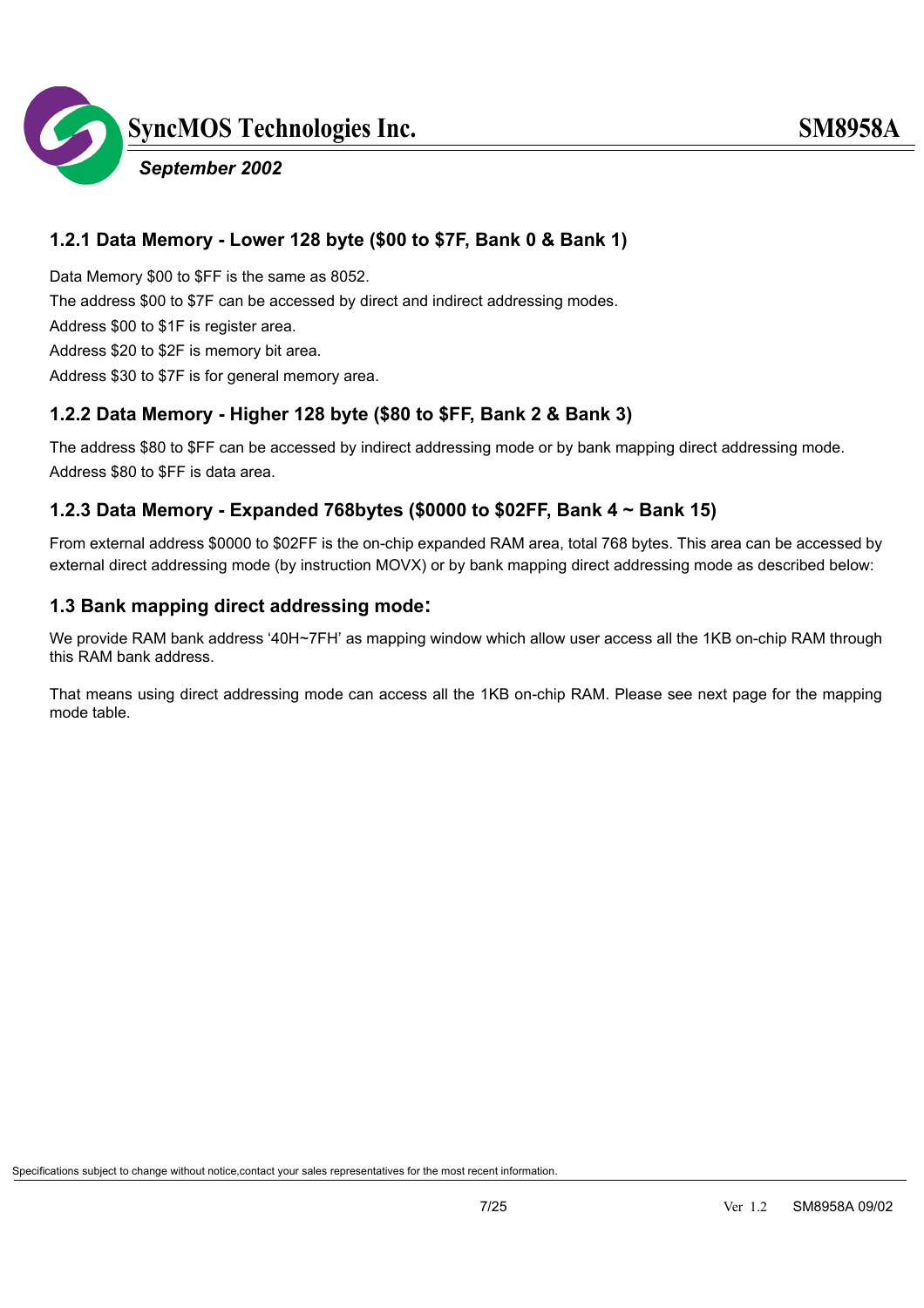

Data Memory \$00 to \$FF is the same as 8052. The address \$00 to \$7F can be accessed by direct and indirect addressing modes.

Address \$00 to \$1F is register area.

Address \$20 to \$2F is memory bit area.

Address \$30 to \$7F is for general memory area.

#### **1.2.2 Data Memory - Higher 128 byte (\$80 to \$FF, Bank 2 & Bank 3)**

The address \$80 to \$FF can be accessed by indirect addressing mode or by bank mapping direct addressing mode. Address \$80 to \$FF is data area.

#### **1.2.3 Data Memory - Expanded 768bytes (\$0000 to \$02FF, Bank 4 ~ Bank 15)**

From external address \$0000 to \$02FF is the on-chip expanded RAM area, total 768 bytes. This area can be accessed by external direct addressing mode (by instruction MOVX) or by bank mapping direct addressing mode as described below:

#### **1.3 Bank mapping direct addressing mode:**

We provide RAM bank address '40H~7FH' as mapping window which allow user access all the 1KB on-chip RAM through this RAM bank address.

That means using direct addressing mode can access all the 1KB on-chip RAM. Please see next page for the mapping mode table.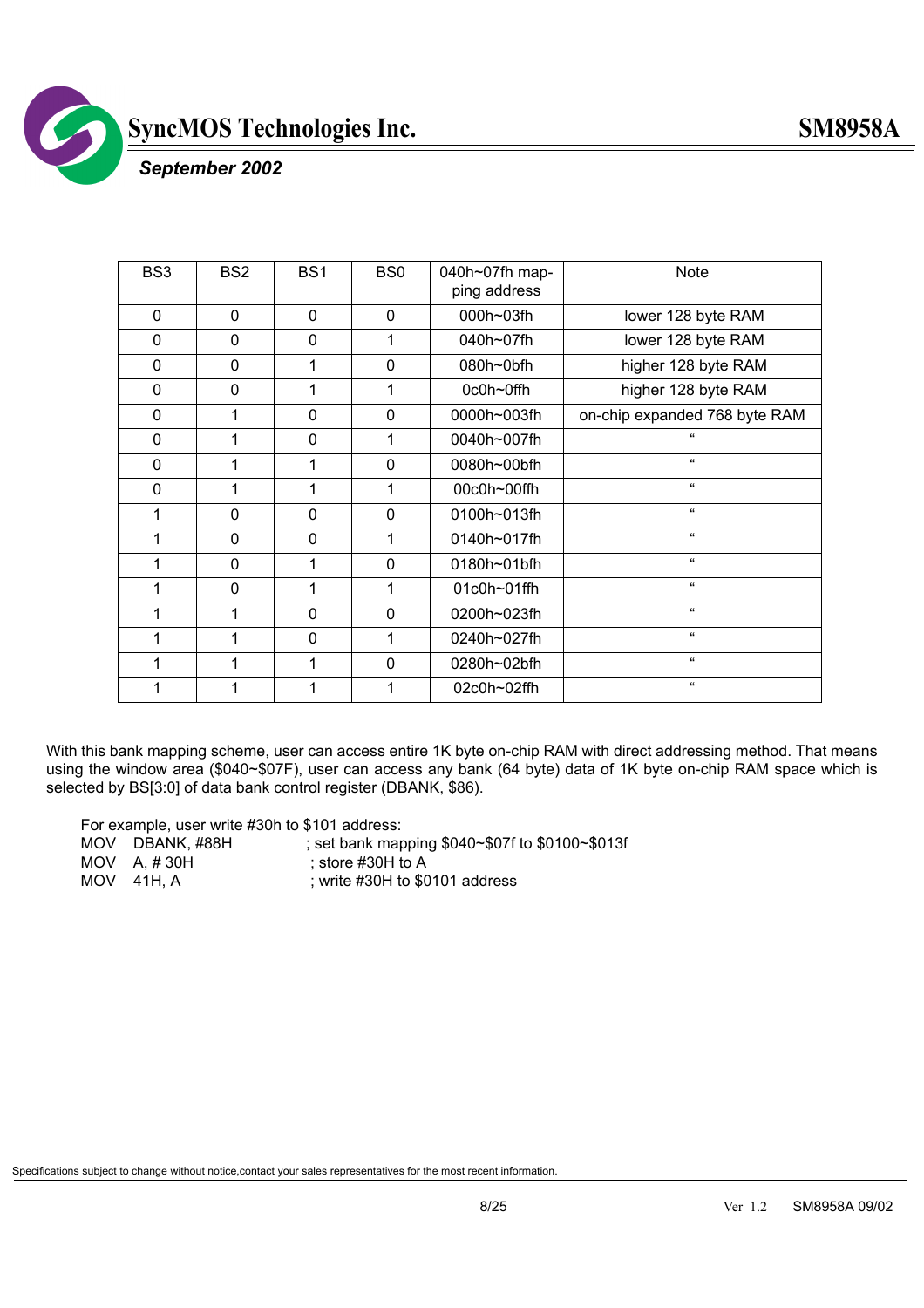

 *September 2002*

| BS <sub>3</sub> | BS <sub>2</sub> | BS <sub>1</sub> | BS <sub>0</sub> | 040h~07fh map-<br>ping address | <b>Note</b>                   |
|-----------------|-----------------|-----------------|-----------------|--------------------------------|-------------------------------|
| $\Omega$        | $\mathbf 0$     | 0               | $\Omega$        | 000h~03fh                      | lower 128 byte RAM            |
| $\mathbf 0$     | $\mathbf 0$     | 0               | 1               | 040h~07fh                      | lower 128 byte RAM            |
| 0               | 0               | 1               | $\mathbf{0}$    | 080h~0bfh                      | higher 128 byte RAM           |
| $\mathbf 0$     | $\mathbf 0$     | 1               | 1               | 0c0h~0ffh                      | higher 128 byte RAM           |
| $\mathbf 0$     | 1               | $\mathbf 0$     | $\mathbf 0$     | 0000h~003fh                    | on-chip expanded 768 byte RAM |
| $\mathbf 0$     | 1               | 0               | 1               | 0040h~007fh                    | $\alpha$                      |
| $\mathbf 0$     | 1               | 1               | $\Omega$        | 0080h~00bfh                    | $\mathbf{a}$                  |
| $\mathbf 0$     | 1               | 1               | 1               | 00c0h~00ffh                    | $\mathbf{a}$                  |
| 1               | $\Omega$        | 0               | $\mathbf{0}$    | 0100h~013fh                    | $\mathbf{a}$                  |
| 1               | $\Omega$        | 0               | 1               | 0140h~017fh                    | $\epsilon$                    |
| 1               | $\mathbf 0$     | 1               | $\mathbf 0$     | 0180h~01bfh                    | $\mathbf{g}$                  |
| 1               | $\mathbf 0$     | 1               | 1               | 01c0h~01ffh                    | $\epsilon$                    |
| 1               | 1               | 0               | $\mathbf{0}$    | 0200h~023fh                    | $\mathbf{a}$                  |
| 1               | 1               | $\mathbf 0$     | 1               | 0240h~027fh                    | $\epsilon$                    |
| 1               | 1               | 1               | $\mathbf 0$     | 0280h~02bfh                    | $\epsilon$                    |
|                 |                 | 1               |                 | 02c0h~02ffh                    | $\mathbf{a}$                  |

With this bank mapping scheme, user can access entire 1K byte on-chip RAM with direct addressing method. That means using the window area (\$040~\$07F), user can access any bank (64 byte) data of 1K byte on-chip RAM space which is selected by BS[3:0] of data bank control register (DBANK, \$86).

For example, user write #30h to \$101 address:

| MOV DBANK, #88H                                                                                                                                                                                                                                                                                                                                                                                                                     | ; set bank mapping \$040~\$07f to \$0100~\$013f |
|-------------------------------------------------------------------------------------------------------------------------------------------------------------------------------------------------------------------------------------------------------------------------------------------------------------------------------------------------------------------------------------------------------------------------------------|-------------------------------------------------|
| MOV $A. # 30H$                                                                                                                                                                                                                                                                                                                                                                                                                      | ∶ store #30H to A                               |
| $\begin{array}{cccc} \textbf{A} & \textbf{A} & \textbf{A} & \textbf{A} & \textbf{A} & \textbf{A} & \textbf{A} & \textbf{A} & \textbf{A} & \textbf{A} & \textbf{A} & \textbf{A} & \textbf{A} & \textbf{A} & \textbf{A} & \textbf{A} & \textbf{A} & \textbf{A} & \textbf{A} & \textbf{A} & \textbf{A} & \textbf{A} & \textbf{A} & \textbf{A} & \textbf{A} & \textbf{A} & \textbf{A} & \textbf{A} & \textbf{A} & \textbf{A} & \textbf$ | $100111 + 00404 - 11111$                        |

 $MOV$  41H, A ; write #30H to \$0101 address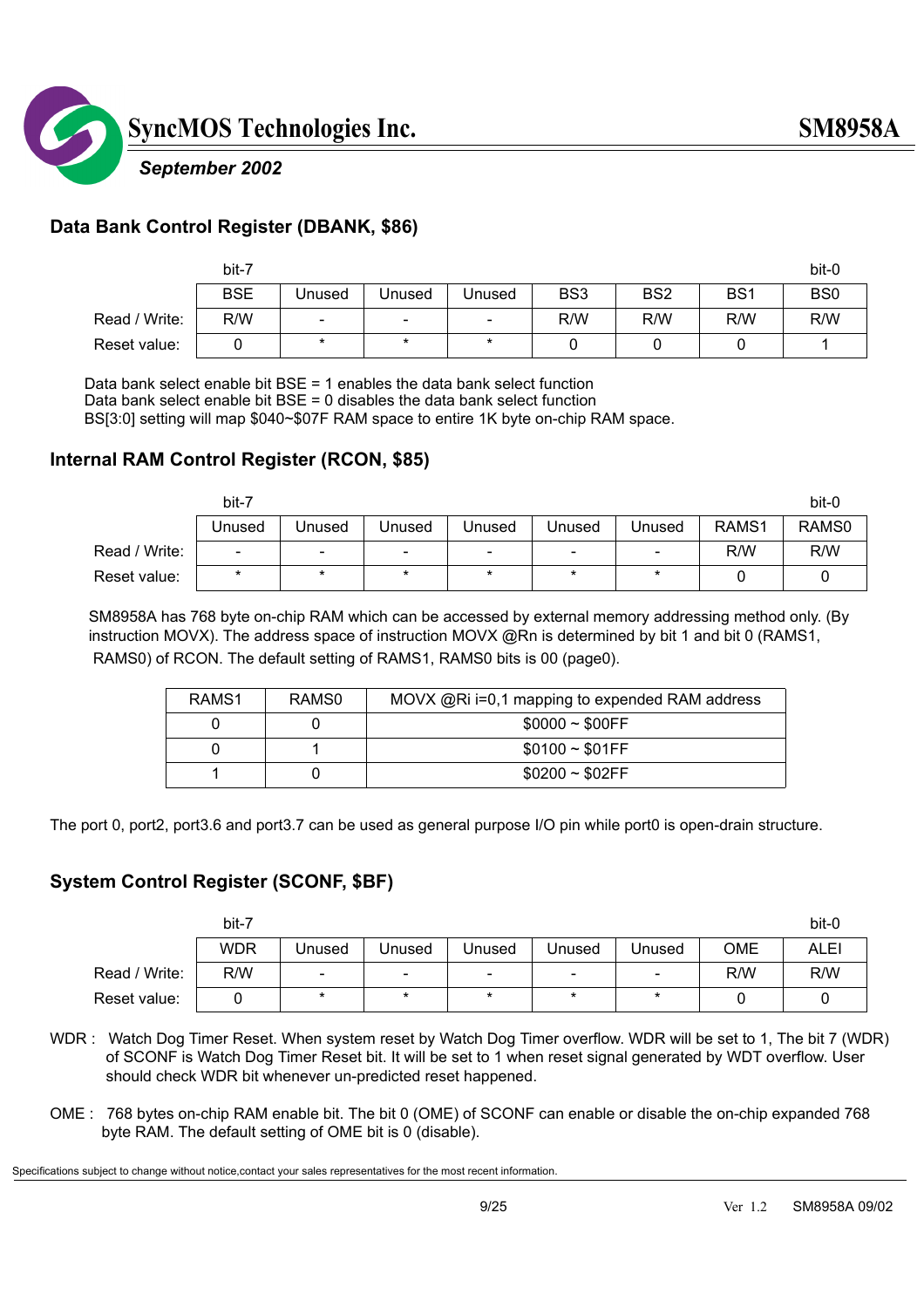

#### *September 2002*

#### **Data Bank Control Register (DBANK, \$86)**

|               | bit-7      |                          |                              |                          |                 |                 |                 | bit-0           |
|---------------|------------|--------------------------|------------------------------|--------------------------|-----------------|-----------------|-----------------|-----------------|
|               | <b>BSE</b> | Unused                   | Unused                       | Unused                   | BS <sub>3</sub> | BS <sub>2</sub> | BS <sub>1</sub> | BS <sub>0</sub> |
| Read / Write: | R/W        | $\overline{\phantom{0}}$ | $\qquad \qquad \blacksquare$ | $\overline{\phantom{a}}$ | R/W             | R/W             | R/W             | R/W             |
| Reset value:  |            | $\star$                  | $\star$                      | $\star$                  |                 |                 |                 |                 |

Data bank select enable bit BSE = 1 enables the data bank select function

Data bank select enable bit BSE = 0 disables the data bank select function

BS[3:0] setting will map \$040~\$07F RAM space to entire 1K byte on-chip RAM space.

#### **Internal RAM Control Register (RCON, \$85)**

|               | bit-7  |         |        |         |                          |                          |       | bit-0 |
|---------------|--------|---------|--------|---------|--------------------------|--------------------------|-------|-------|
|               | Unused | Unused  | Unused | Unused  | Unused                   | Unused                   | RAMS1 | RAMS0 |
| Read / Write: | -      | ۰       | -      | -       | $\overline{\phantom{a}}$ | $\overline{\phantom{a}}$ | R/W   | R/W   |
| Reset value:  | *      | $\star$ | $\ast$ | $\star$ | $\star$                  | *                        |       |       |

 SM8958A has 768 byte on-chip RAM which can be accessed by external memory addressing method only. (By instruction MOVX). The address space of instruction MOVX @Rn is determined by bit 1 and bit 0 (RAMS1, RAMS0) of RCON. The default setting of RAMS1, RAMS0 bits is 00 (page0).

| RAMS <sub>1</sub> | RAMS0 | MOVX @Ri i=0,1 mapping to expended RAM address |
|-------------------|-------|------------------------------------------------|
|                   |       | $$0000 \sim $00FF$                             |
|                   |       | $$0100 \sim $01FF$                             |
|                   |       | $$0200 \sim $02FF$                             |

The port 0, port2, port3.6 and port3.7 can be used as general purpose I/O pin while port0 is open-drain structure.

#### **System Control Register (SCONF, \$BF)**

|               | bit-7      |                              |                          |                          |                              |                          |     | bit-0 |
|---------------|------------|------------------------------|--------------------------|--------------------------|------------------------------|--------------------------|-----|-------|
|               | <b>WDR</b> | Unused                       | Unused                   | Unused                   | Unused                       | Unused                   | OME | ALEI  |
| Read / Write: | R/W        | $\qquad \qquad \blacksquare$ | $\overline{\phantom{a}}$ | $\overline{\phantom{a}}$ | $\qquad \qquad \blacksquare$ | $\overline{\phantom{0}}$ | R/W | R/W   |
| Reset value:  |            | *                            | $\star$                  | $\star$                  | $\ast$                       | $\star$                  |     |       |

- WDR : Watch Dog Timer Reset. When system reset by Watch Dog Timer overflow. WDR will be set to 1, The bit 7 (WDR) of SCONF is Watch Dog Timer Reset bit. It will be set to 1 when reset signal generated by WDT overflow. User should check WDR bit whenever un-predicted reset happened.
- OME : 768 bytes on-chip RAM enable bit. The bit 0 (OME) of SCONF can enable or disable the on-chip expanded 768 byte RAM. The default setting of OME bit is 0 (disable).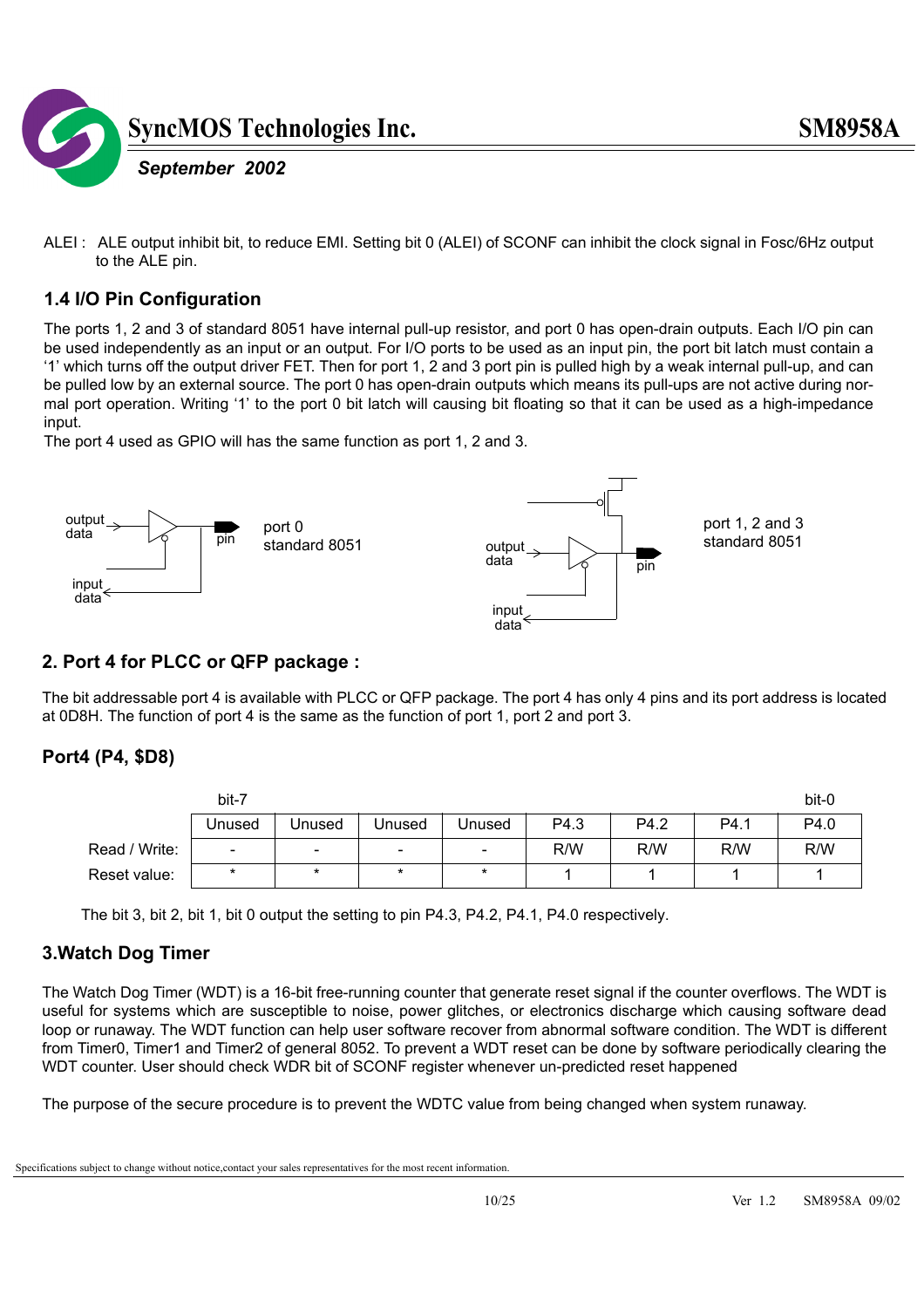

ALEI : ALE output inhibit bit, to reduce EMI. Setting bit 0 (ALEI) of SCONF can inhibit the clock signal in Fosc/6Hz output to the ALE pin.

#### **1.4 I/O Pin Configuration**

The ports 1, 2 and 3 of standard 8051 have internal pull-up resistor, and port 0 has open-drain outputs. Each I/O pin can be used independently as an input or an output. For I/O ports to be used as an input pin, the port bit latch must contain a '1' which turns off the output driver FET. Then for port 1, 2 and 3 port pin is pulled high by a weak internal pull-up, and can be pulled low by an external source. The port 0 has open-drain outputs which means its pull-ups are not active during normal port operation. Writing '1' to the port 0 bit latch will causing bit floating so that it can be used as a high-impedance input.

The port 4 used as GPIO will has the same function as port 1, 2 and 3.



#### **2. Port 4 for PLCC or QFP package :**

The bit addressable port 4 is available with PLCC or QFP package. The port 4 has only 4 pins and its port address is located at 0D8H. The function of port 4 is the same as the function of port 1, port 2 and port 3.

#### **Port4 (P4, \$D8)**

|               | bit-7                    |                          |                          |                          |      |      |      | bit-0 |
|---------------|--------------------------|--------------------------|--------------------------|--------------------------|------|------|------|-------|
|               | Unused                   | Unused                   | Unused                   | Unused                   | P4.3 | P4.2 | P4.1 | P4.0  |
| Read / Write: | $\overline{\phantom{0}}$ | $\overline{\phantom{a}}$ | $\overline{\phantom{a}}$ | $\overline{\phantom{a}}$ | R/W  | R/W  | R/W  | R/W   |
| Reset value:  | $\star$                  | $\ast$                   | $\star$                  | $\star$                  |      |      |      |       |

The bit 3, bit 2, bit 1, bit 0 output the setting to pin P4.3, P4.2, P4.1, P4.0 respectively.

#### **3.Watch Dog Timer**

The Watch Dog Timer (WDT) is a 16-bit free-running counter that generate reset signal if the counter overflows. The WDT is useful for systems which are susceptible to noise, power glitches, or electronics discharge which causing software dead loop or runaway. The WDT function can help user software recover from abnormal software condition. The WDT is different from Timer0, Timer1 and Timer2 of general 8052. To prevent a WDT reset can be done by software periodically clearing the WDT counter. User should check WDR bit of SCONF register whenever un-predicted reset happened

The purpose of the secure procedure is to prevent the WDTC value from being changed when system runaway.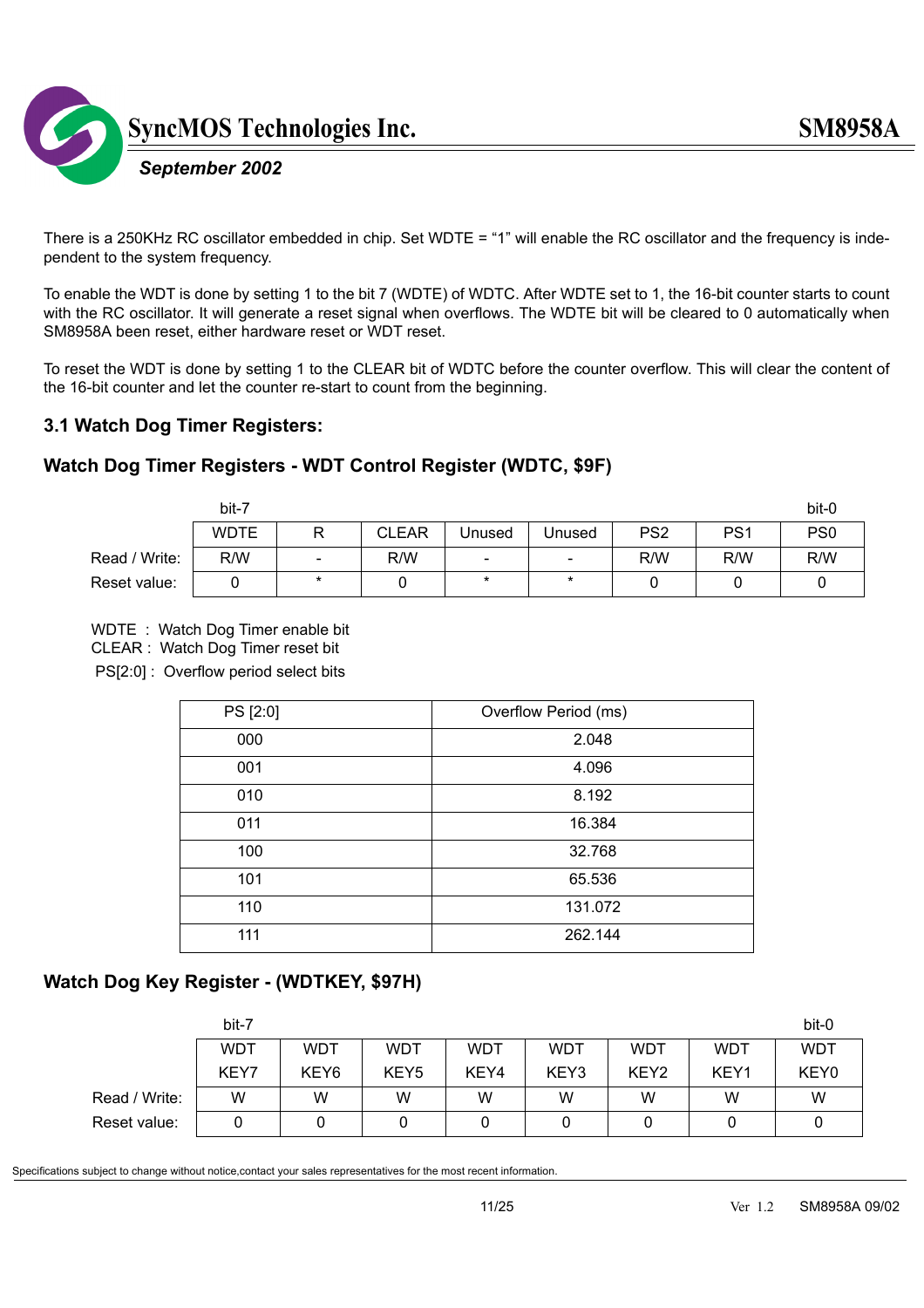

#### There is a 250KHz RC oscillator embedded in chip. Set WDTE = "1" will enable the RC oscillator and the frequency is independent to the system frequency.

To enable the WDT is done by setting 1 to the bit 7 (WDTE) of WDTC. After WDTE set to 1, the 16-bit counter starts to count with the RC oscillator. It will generate a reset signal when overflows. The WDTE bit will be cleared to 0 automatically when SM8958A been reset, either hardware reset or WDT reset.

To reset the WDT is done by setting 1 to the CLEAR bit of WDTC before the counter overflow. This will clear the content of the 16-bit counter and let the counter re-start to count from the beginning.

#### **3.1 Watch Dog Timer Registers:**

#### **Watch Dog Timer Registers - WDT Control Register (WDTC, \$9F)**

|               | bit-7       |                |              |                          |                          |                 |                 | bit-0           |
|---------------|-------------|----------------|--------------|--------------------------|--------------------------|-----------------|-----------------|-----------------|
|               | <b>WDTE</b> | R              | <b>CLEAR</b> | Unused                   | Unused                   | PS <sub>2</sub> | PS <sub>1</sub> | PS <sub>0</sub> |
| Read / Write: | R/W         | $\blacksquare$ | R/W          | $\overline{\phantom{a}}$ | $\overline{\phantom{a}}$ | R/W             | R/W             | R/W             |
| Reset value:  |             | $\ast$         |              | $\star$                  | $\star$                  |                 |                 |                 |

#### WDTE : Watch Dog Timer enable bit

CLEAR : Watch Dog Timer reset bit

PS[2:0] : Overflow period select bits

| PS [2:0] | Overflow Period (ms) |
|----------|----------------------|
| 000      | 2.048                |
| 001      | 4.096                |
| 010      | 8.192                |
| 011      | 16.384               |
| 100      | 32.768               |
| 101      | 65.536               |
| 110      | 131.072              |
| 111      | 262.144              |

#### **Watch Dog Key Register - (WDTKEY, \$97H)**

|               | bit-7      |                  |                  |            |      |                  |            | bit-0      |
|---------------|------------|------------------|------------------|------------|------|------------------|------------|------------|
|               | <b>WDT</b> | <b>WDT</b>       | <b>WDT</b>       | <b>WDT</b> | WDT  | WDT              | <b>WDT</b> | <b>WDT</b> |
|               | KEY7       | KEY <sub>6</sub> | KEY <sub>5</sub> | KEY4       | KEY3 | KEY <sub>2</sub> | KEY1       | KEY0       |
| Read / Write: | W          | W                | W                | W          | W    | W                | W          | W          |
| Reset value:  |            |                  |                  |            |      |                  |            |            |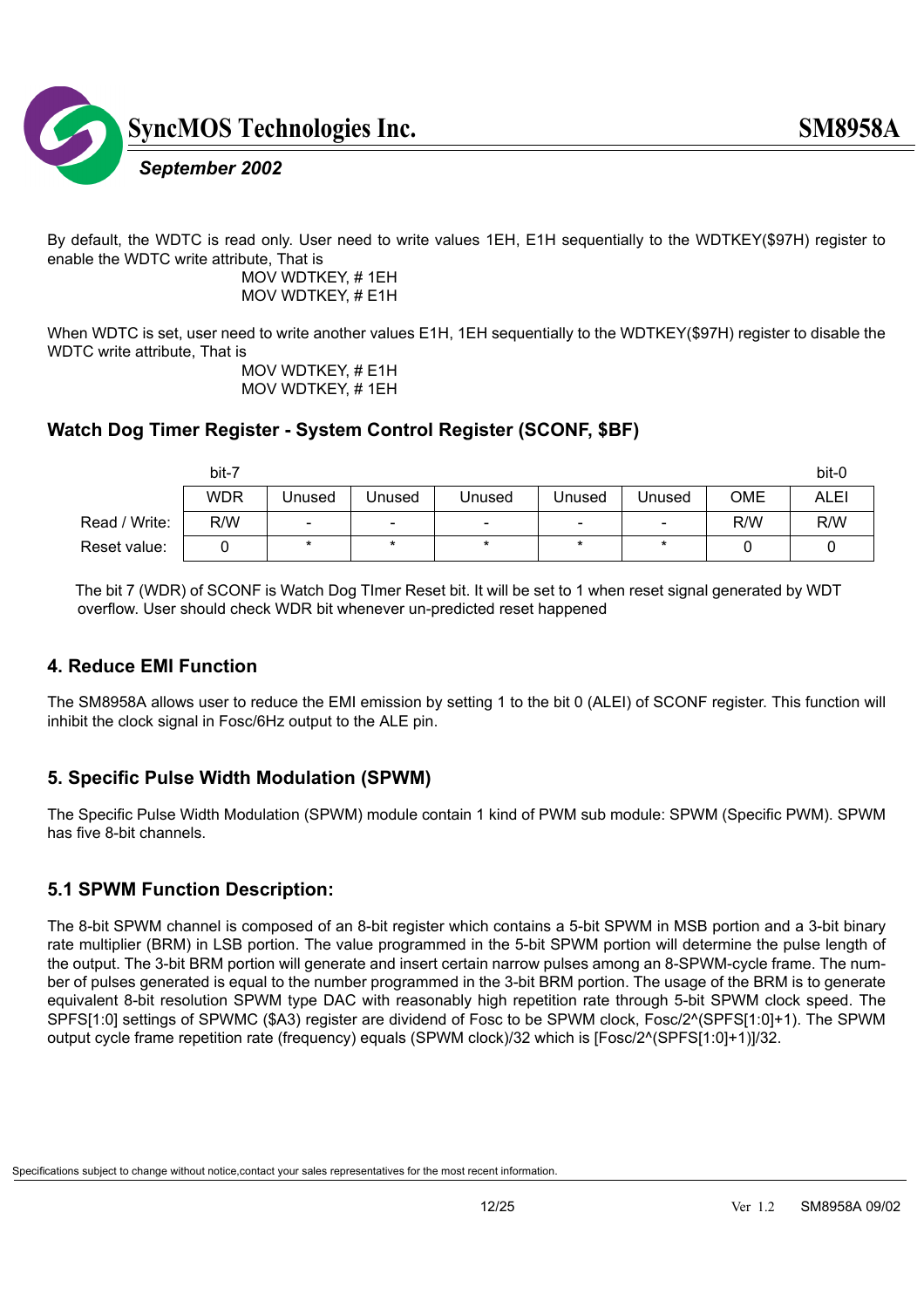

By default, the WDTC is read only. User need to write values 1EH, E1H sequentially to the WDTKEY(\$97H) register to enable the WDTC write attribute, That is

 MOV WDTKEY, # 1EH MOV WDTKEY, # E1H

When WDTC is set, user need to write another values E1H, 1EH sequentially to the WDTKEY(\$97H) register to disable the WDTC write attribute, That is

 MOV WDTKEY, # E1H MOV WDTKEY, # 1EH

#### **Watch Dog Timer Register - System Control Register (SCONF, \$BF)**

|               | bit-7      |                          |                          |                          |                          |                          |     | bit-0       |
|---------------|------------|--------------------------|--------------------------|--------------------------|--------------------------|--------------------------|-----|-------------|
|               | <b>WDR</b> | Unused                   | Jnused                   | Unused                   | Unused                   | Unused                   | OME | <b>ALEI</b> |
| Read / Write: | R/W        | $\overline{\phantom{a}}$ | $\overline{\phantom{a}}$ | $\overline{\phantom{a}}$ | $\overline{\phantom{0}}$ | $\overline{\phantom{0}}$ | R/W | R/W         |
| Reset value:  |            | $\star$                  | $\star$                  | $\ast$                   |                          | $\star$                  |     |             |

 The bit 7 (WDR) of SCONF is Watch Dog TImer Reset bit. It will be set to 1 when reset signal generated by WDT overflow. User should check WDR bit whenever un-predicted reset happened

#### **4. Reduce EMI Function**

The SM8958A allows user to reduce the EMI emission by setting 1 to the bit 0 (ALEI) of SCONF register. This function will inhibit the clock signal in Fosc/6Hz output to the ALE pin.

#### **5. Specific Pulse Width Modulation (SPWM)**

The Specific Pulse Width Modulation (SPWM) module contain 1 kind of PWM sub module: SPWM (Specific PWM). SPWM has five 8-bit channels.

#### **5.1 SPWM Function Description:**

The 8-bit SPWM channel is composed of an 8-bit register which contains a 5-bit SPWM in MSB portion and a 3-bit binary rate multiplier (BRM) in LSB portion. The value programmed in the 5-bit SPWM portion will determine the pulse length of the output. The 3-bit BRM portion will generate and insert certain narrow pulses among an 8-SPWM-cycle frame. The number of pulses generated is equal to the number programmed in the 3-bit BRM portion. The usage of the BRM is to generate equivalent 8-bit resolution SPWM type DAC with reasonably high repetition rate through 5-bit SPWM clock speed. The SPFS[1:0] settings of SPWMC (\$A3) register are dividend of Fosc to be SPWM clock, Fosc/2^(SPFS[1:0]+1). The SPWM output cycle frame repetition rate (frequency) equals (SPWM clock)/32 which is [Fosc/2^(SPFS[1:0]+1)]/32.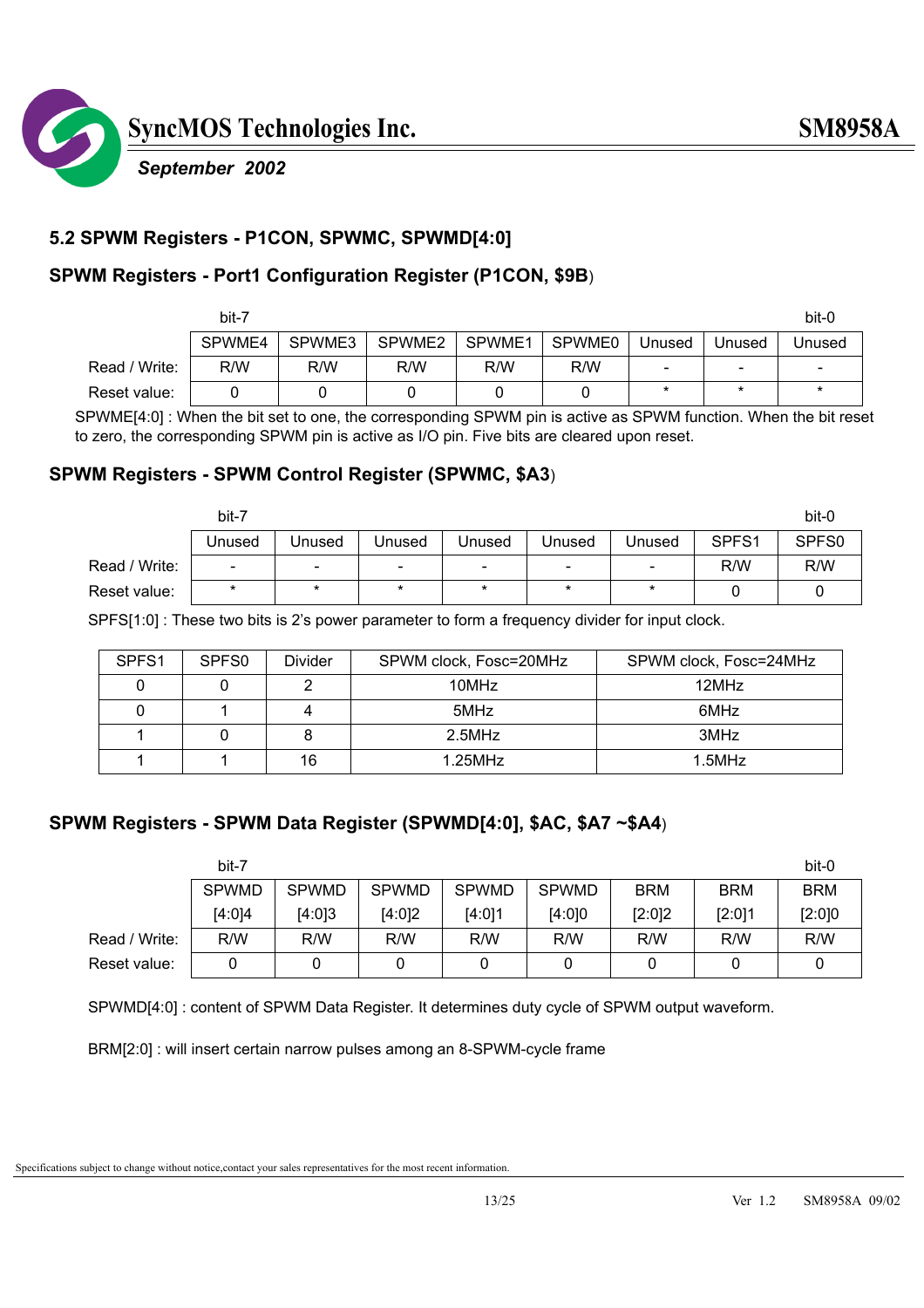

#### **5.2 SPWM Registers - P1CON, SPWMC, SPWMD[4:0]**

#### **SPWM Registers - Port1 Configuration Register (P1CON, \$9B**)

|               | bit-7  |        |        |        |        |                          |         | bit-0                    |
|---------------|--------|--------|--------|--------|--------|--------------------------|---------|--------------------------|
|               | SPWME4 | SPWME3 | SPWME2 | SPWME1 | SPWME0 | Unused                   | Unused  | Unused                   |
| Read / Write: | R/W    | R/W    | R/W    | R/W    | R/W    | $\overline{\phantom{0}}$ | -       | $\overline{\phantom{a}}$ |
| Reset value:  |        |        |        |        |        | $\star$                  | $\star$ | $\ast$                   |

 SPWME[4:0] : When the bit set to one, the corresponding SPWM pin is active as SPWM function. When the bit reset to zero, the corresponding SPWM pin is active as I/O pin. Five bits are cleared upon reset.

#### **SPWM Registers - SPWM Control Register (SPWMC, \$A3**)

|               | bit-7                    |                          |                          |                          |                          |                          |       | bit-0 |
|---------------|--------------------------|--------------------------|--------------------------|--------------------------|--------------------------|--------------------------|-------|-------|
|               | Unused                   | Unused                   | Unused                   | Jnused                   | Unused                   | <b>Jnused</b>            | SPFS1 | SPFS0 |
| Read / Write: | $\overline{\phantom{0}}$ | $\overline{\phantom{0}}$ | $\overline{\phantom{0}}$ | $\overline{\phantom{a}}$ | $\overline{\phantom{a}}$ | $\overline{\phantom{0}}$ | R/W   | R/W   |
| Reset value:  | $\ast$                   | *                        | $\ast$                   | $\star$                  | $\star$                  | $\ast$                   |       |       |

SPFS[1:0] : These two bits is 2's power parameter to form a frequency divider for input clock.

| SPFS <sub>1</sub> | SPF <sub>S0</sub> | Divider | SPWM clock, Fosc=20MHz | SPWM clock, Fosc=24MHz |
|-------------------|-------------------|---------|------------------------|------------------------|
|                   |                   |         | 10MHz                  | 12MHz                  |
|                   |                   |         | 5MHz                   | 6MHz                   |
|                   |                   |         | $2.5$ MHz              | 3MHz                   |
|                   |                   | 16      | $1.25$ MHz             | $1.5$ MHz              |

#### **SPWM Registers - SPWM Data Register (SPWMD[4:0], \$AC, \$A7 ~\$A4**)

|               | bit-7        |              |              |              |              |            |            | bit-0      |
|---------------|--------------|--------------|--------------|--------------|--------------|------------|------------|------------|
|               | <b>SPWMD</b> | <b>SPWMD</b> | <b>SPWMD</b> | <b>SPWMD</b> | <b>SPWMD</b> | <b>BRM</b> | <b>BRM</b> | <b>BRM</b> |
|               | [4:0]4       | [4:0]3       | [4:0]2       | [4:0]1       | [4:0]0       | [2:0]2     | [2:0]1     | [2:0]0     |
| Read / Write: | R/W          | R/W          | R/W          | R/W          | R/W          | R/W        | R/W        | R/W        |
| Reset value:  | 0            |              |              |              |              |            |            |            |

SPWMD[4:0] : content of SPWM Data Register. It determines duty cycle of SPWM output waveform.

BRM[2:0] : will insert certain narrow pulses among an 8-SPWM-cycle frame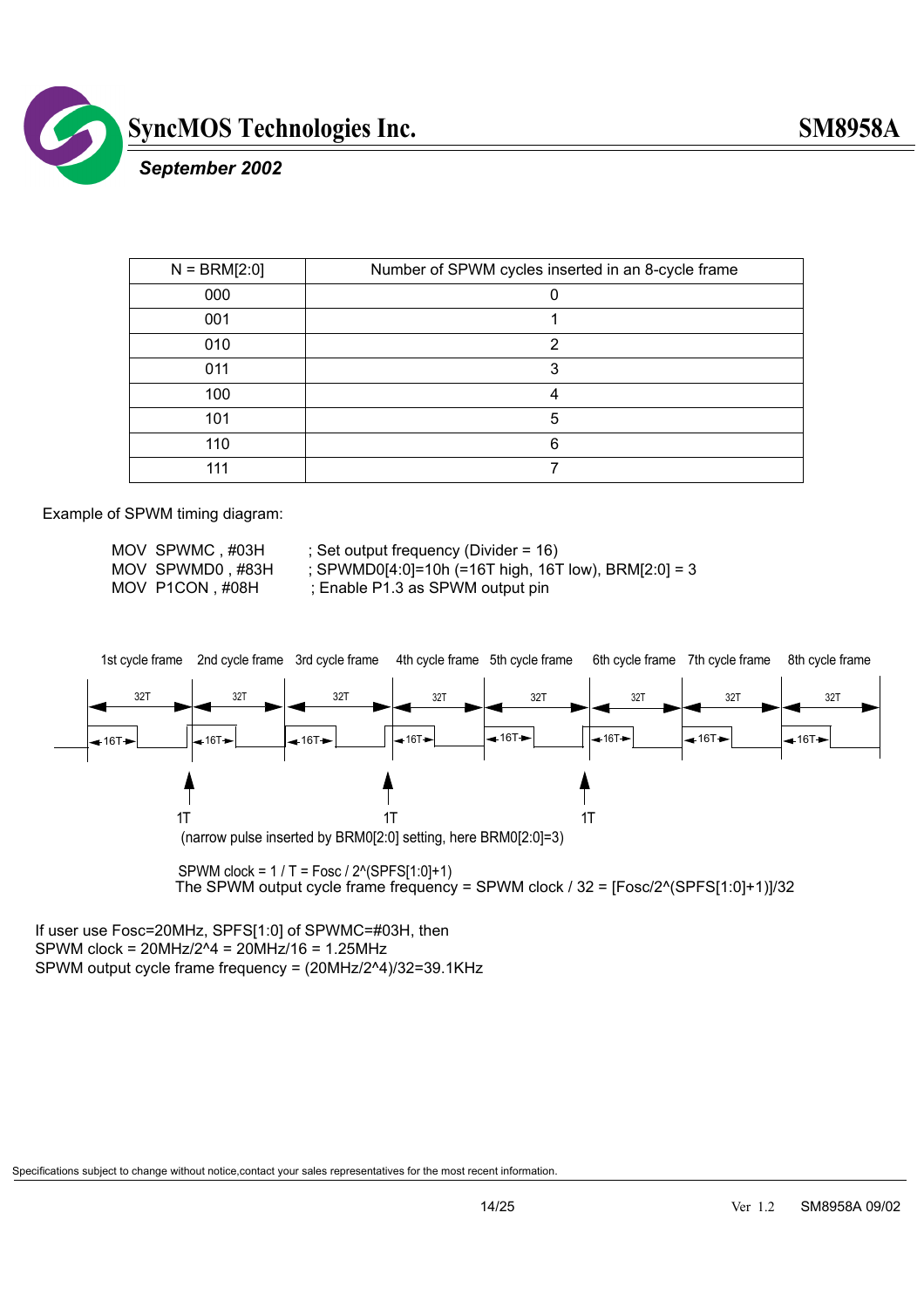

 *September 2002*

| $N = \text{BRM}[2:0]$ | Number of SPWM cycles inserted in an 8-cycle frame |
|-----------------------|----------------------------------------------------|
| 000                   |                                                    |
| 001                   |                                                    |
| 010                   | າ                                                  |
| 011                   | 3                                                  |
| 100                   | Δ                                                  |
| 101                   | 5                                                  |
| 110                   | 6                                                  |
| 111                   |                                                    |

Example of SPWM timing diagram:

MOV SPWMC, #03H ; Set output frequency (Divider = 16)

MOV SPWMD0 , #83H ; SPWMD0[4:0]=10h (=16T high, 16T low), BRM[2:0] = 3

MOV P1CON, #08H ; Enable P1.3 as SPWM output pin



 SPWM clock = 1 / T = Fosc / 2^(SPFS[1:0]+1) The SPWM output cycle frame frequency = SPWM clock / 32 = [Fosc/2^(SPFS[1:0]+1)]/32

If user use Fosc=20MHz, SPFS[1:0] of SPWMC=#03H, then SPWM clock = 20MHz/2^4 = 20MHz/16 = 1.25MHz SPWM output cycle frame frequency = (20MHz/2^4)/32=39.1KHz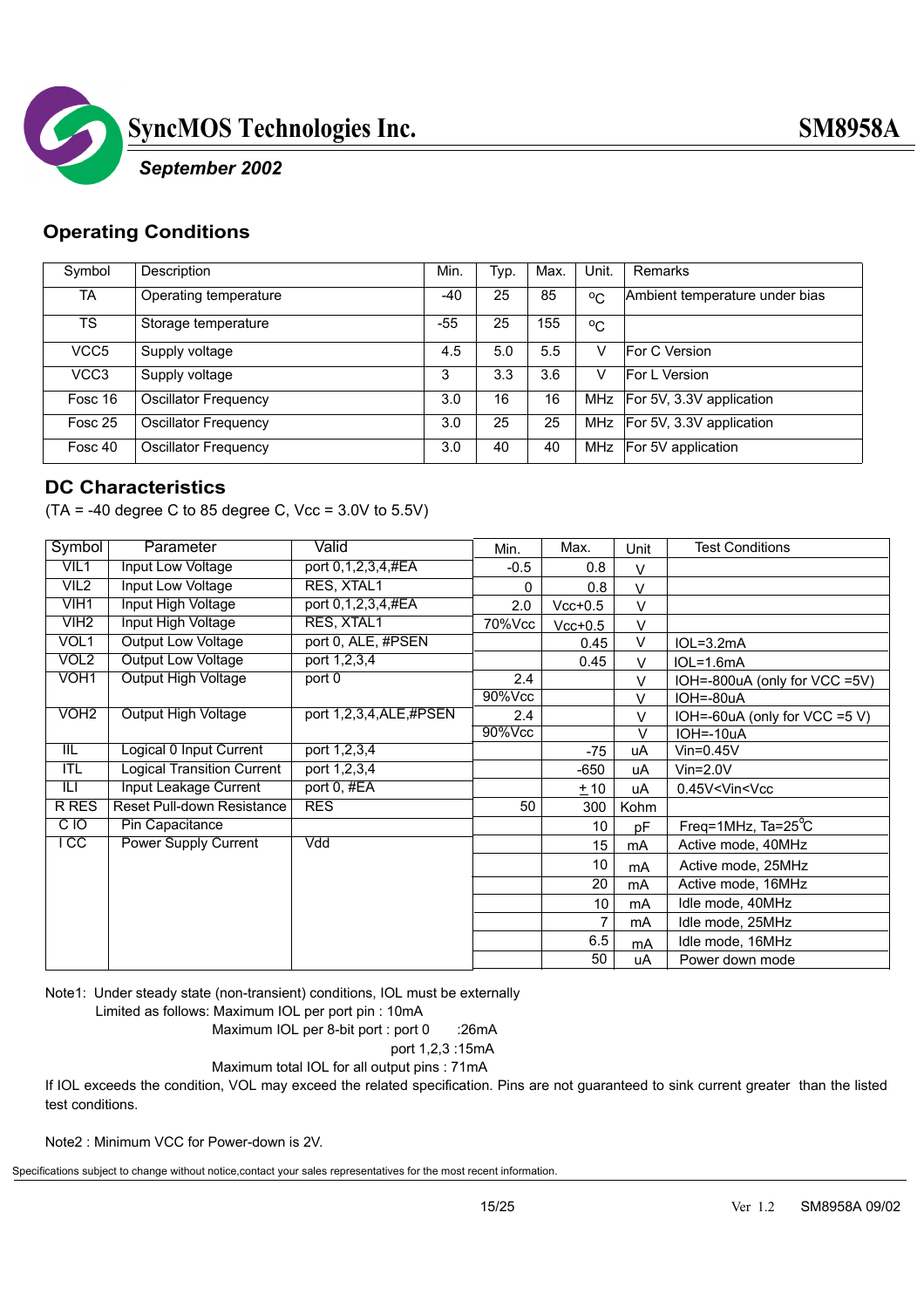

#### *September 2002*

#### **Operating Conditions**

| Symbol           | Description                 | Min.  | Typ. | Max. | Unit.        | Remarks                        |
|------------------|-----------------------------|-------|------|------|--------------|--------------------------------|
| TA               | Operating temperature       | $-40$ | 25   | 85   | $^{\circ}$ C | Ambient temperature under bias |
| TS.              | Storage temperature         | -55   | 25   | 155  | $^{\circ}$ C |                                |
| VCC <sub>5</sub> | Supply voltage              | 4.5   | 5.0  | 5.5  |              | For C Version                  |
| VCC <sub>3</sub> | Supply voltage              | 3     | 3.3  | 3.6  |              | <b>For L Version</b>           |
| Fosc 16          | <b>Oscillator Frequency</b> | 3.0   | 16   | 16   |              | MHz   For 5V, 3.3V application |
| Fosc 25          | <b>Oscillator Frequency</b> | 3.0   | 25   | 25   | MHz          | For 5V, 3.3V application       |
| Fosc 40          | Oscillator Frequency        | 3.0   | 40   | 40   | MHz          | For 5V application             |

#### **DC Characteristics**

 $(TA = -40 \text{ degree } C \text{ to } 85 \text{ degree } C$ , Vcc = 3.0V to 5.5V)

| Symbol                  | Parameter                         | Valid                  | Min.   | Max.      | Unit          | <b>Test Conditions</b>            |
|-------------------------|-----------------------------------|------------------------|--------|-----------|---------------|-----------------------------------|
| VIL1                    | Input Low Voltage                 | port 0,1,2,3,4,#EA     | $-0.5$ | 0.8       | $\vee$        |                                   |
| VIL <sub>2</sub>        | Input Low Voltage                 | RES, XTAL1             | 0      | 0.8       | $\mathcal{U}$ |                                   |
| VIH1                    | Input High Voltage                | port 0,1,2,3,4,#EA     | 2.0    | $Vcc+0.5$ | $\vee$        |                                   |
| VIH <sub>2</sub>        | Input High Voltage                | RES, XTAL1             | 70%Vcc | $Vcc+0.5$ | V             |                                   |
| VOL1                    | Output Low Voltage                | port 0, ALE, #PSEN     |        | 0.45      | V             | $IOL=3.2mA$                       |
| VOL <sub>2</sub>        | <b>Output Low Voltage</b>         | port 1,2,3,4           |        | 0.45      | V             | $IOL=1.6mA$                       |
| VOH <sub>1</sub>        | <b>Output High Voltage</b>        | port 0                 | 2.4    |           | V             | IOH=-800uA (only for VCC =5V)     |
|                         |                                   |                        | 90%Vcc |           | V             | $IOH = -80uA$                     |
| VOH <sub>2</sub>        | <b>Output High Voltage</b>        | port 1,2,3,4,ALE,#PSEN | 2.4    |           | V             | IOH=-60uA (only for VCC =5 V)     |
|                         |                                   |                        | 90%Vcc |           | $\vee$        | $IOH = -10uA$                     |
| $\overline{\mathbb{H}}$ | Logical 0 Input Current           | port 1,2,3,4           |        | $-75$     | uA            | $V$ in=0.45 $V$                   |
| ITL                     | <b>Logical Transition Current</b> | port 1,2,3,4           |        | $-650$    | uA            | $V$ in= $2.0V$                    |
| $\overline{\mathbb{H}}$ | <b>Input Leakage Current</b>      | port 0, #EA            |        | ±10       | uA            | 0.45V <vin<vcc< td=""></vin<vcc<> |
| <b>R RES</b>            | Reset Pull-down Resistance        | <b>RES</b>             | 50     | 300       | Kohm          |                                   |
| CIO                     | Pin Capacitance                   |                        |        | 10        | pF            | Freq=1MHz, $Ta=25^{\circ}C$       |
| $\overline{1}$ CC       | <b>Power Supply Current</b>       | Vdd                    |        | 15        | mA            | Active mode, 40MHz                |
|                         |                                   |                        |        | 10        | mA            | Active mode, 25MHz                |
|                         |                                   |                        |        | 20        | mA            | Active mode, 16MHz                |
|                         |                                   |                        |        | 10        | mA            | Idle mode, 40MHz                  |
|                         |                                   |                        |        |           | mA            | Idle mode, 25MHz                  |
|                         |                                   |                        |        | 6.5       | mA            | Idle mode, 16MHz                  |
|                         |                                   |                        |        | 50        | uA            | Power down mode                   |

Note1: Under steady state (non-transient) conditions, IOL must be externally

Limited as follows: Maximum IOL per port pin : 10mA

Maximum IOL per 8-bit port : port 0 :26mA

port 1,2,3 :15mA

Maximum total IOL for all output pins : 71mA

If IOL exceeds the condition, VOL may exceed the related specification. Pins are not guaranteed to sink current greater than the listed test conditions.

Note2 : Minimum VCC for Power-down is 2V.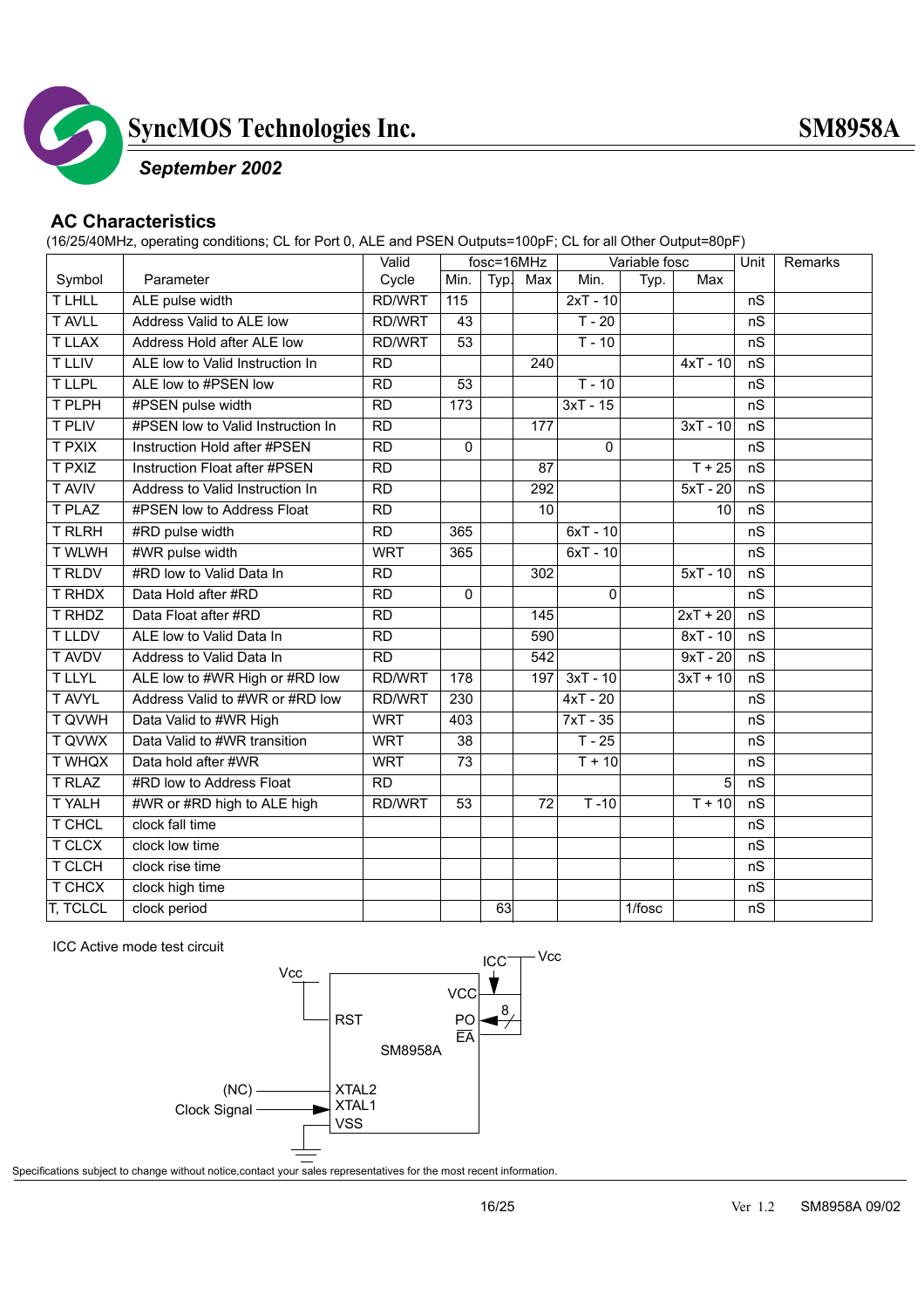

#### *September 2002*

#### **AC Characteristics**

(16/25/40MHz, operating conditions; CL for Port 0, ALE and PSEN Outputs=100pF; CL for all Other Output=80pF)

|                 |                                   | Valid           |                  | fosc=16MHz |                 |             | Variable fosc |            | Unit | <b>Remarks</b> |
|-----------------|-----------------------------------|-----------------|------------------|------------|-----------------|-------------|---------------|------------|------|----------------|
| Symbol          | Parameter                         | Cycle           | Min.             | Typ.       | Max             | Min.        | Typ.          | Max        |      |                |
| <b>TLHLL</b>    | ALE pulse width                   | <b>RD/WRT</b>   | 115              |            |                 | $2xT - 10$  |               |            | nS   |                |
| <b>T AVLL</b>   | Address Valid to ALE low          | <b>RD/WRT</b>   | 43               |            |                 | $T - 20$    |               |            | nS   |                |
| <b>T LLAX</b>   | Address Hold after ALE low        | RD/WRT          | 53               |            |                 | $T - 10$    |               |            | nS   |                |
| <b>T LLIV</b>   | ALE low to Valid Instruction In   | <b>RD</b>       |                  |            | 240             |             |               | $4xT - 10$ | nS   |                |
| <b>TLLPL</b>    | ALE low to #PSEN low              | $\overline{RD}$ | 53               |            |                 | $T - 10$    |               |            | nS   |                |
| T PLPH          | #PSEN pulse width                 | $\overline{RD}$ | $\overline{173}$ |            |                 | $3xT - 15$  |               |            | nS   |                |
| <b>T PLIV</b>   | #PSEN low to Valid Instruction In | <b>RD</b>       |                  |            | 177             |             |               | $3xT - 10$ | nS   |                |
| <b>T PXIX</b>   | Instruction Hold after #PSEN      | $\overline{RD}$ | $\mathbf 0$      |            |                 | $\mathbf 0$ |               |            | nS   |                |
| <b>T PXIZ</b>   | Instruction Float after #PSEN     | $\overline{RD}$ |                  |            | 87              |             |               | $T + 25$   | nS   |                |
| <b>T AVIV</b>   | Address to Valid Instruction In   | $\overline{RD}$ |                  |            | 292             |             |               | $5xT - 20$ | nS   |                |
| <b>T PLAZ</b>   | #PSEN low to Address Float        | <b>RD</b>       |                  |            | $\overline{10}$ |             |               | 10         | nS   |                |
| <b>T RLRH</b>   | #RD pulse width                   | $\overline{RD}$ | 365              |            |                 | $6xT - 10$  |               |            | nS   |                |
| <b>T WLWH</b>   | #WR pulse width                   | <b>WRT</b>      | 365              |            |                 | $6xT - 10$  |               |            | nS   |                |
| <b>T RLDV</b>   | #RD low to Valid Data In          | $\overline{RD}$ |                  |            | 302             |             |               | $5xT - 10$ | nS   |                |
| <b>T RHDX</b>   | Data Hold after #RD               | <b>RD</b>       | 0                |            |                 | $\mathbf 0$ |               |            | nS   |                |
| <b>T RHDZ</b>   | Data Float after #RD              | <b>RD</b>       |                  |            | 145             |             |               | $2xT + 20$ | nS   |                |
| <b>TLLDV</b>    | ALE low to Valid Data In          | $\overline{RD}$ |                  |            | 590             |             |               | $8xT - 10$ | nS   |                |
| <b>T AVDV</b>   | Address to Valid Data In          | $\overline{RD}$ |                  |            | 542             |             |               | $9xT - 20$ | nS   |                |
| <b>TLLYL</b>    | ALE low to #WR High or #RD low    | RD/WRT          | 178              |            | 197             | $3xT - 10$  |               | $3xT + 10$ | nS   |                |
| <b>T AVYL</b>   | Address Valid to #WR or #RD low   | <b>RD/WRT</b>   | 230              |            |                 | $4xT - 20$  |               |            | nS   |                |
| <b>T QVWH</b>   | Data Valid to #WR High            | <b>WRT</b>      | 403              |            |                 | $7xT - 35$  |               |            | nS   |                |
| <b>T QVWX</b>   | Data Valid to #WR transition      | <b>WRT</b>      | 38               |            |                 | $T - 25$    |               |            | nS   |                |
| <b>T WHQX</b>   | Data hold after #WR               | <b>WRT</b>      | 73               |            |                 | $T + 10$    |               |            | nS   |                |
| <b>T RLAZ</b>   | #RD low to Address Float          | <b>RD</b>       |                  |            |                 |             |               | 5          | nS   |                |
| <b>TYALH</b>    | #WR or #RD high to ALE high       | <b>RD/WRT</b>   | 53               |            | 72              | $T - 10$    |               | $T + 10$   | nS   |                |
| T CHCL          | clock fall time                   |                 |                  |            |                 |             |               |            | nS   |                |
| <b>T CLCX</b>   | clock low time                    |                 |                  |            |                 |             |               |            | nS   |                |
| T CLCH          | clock rise time                   |                 |                  |            |                 |             |               |            | nS   |                |
| T CHCX          | clock high time                   |                 |                  |            |                 |             |               |            | nS   |                |
| <b>T, TCLCL</b> | clock period                      |                 |                  | 63         |                 |             | 1/fosc        |            | nS   |                |

ICC Active mode test circuit

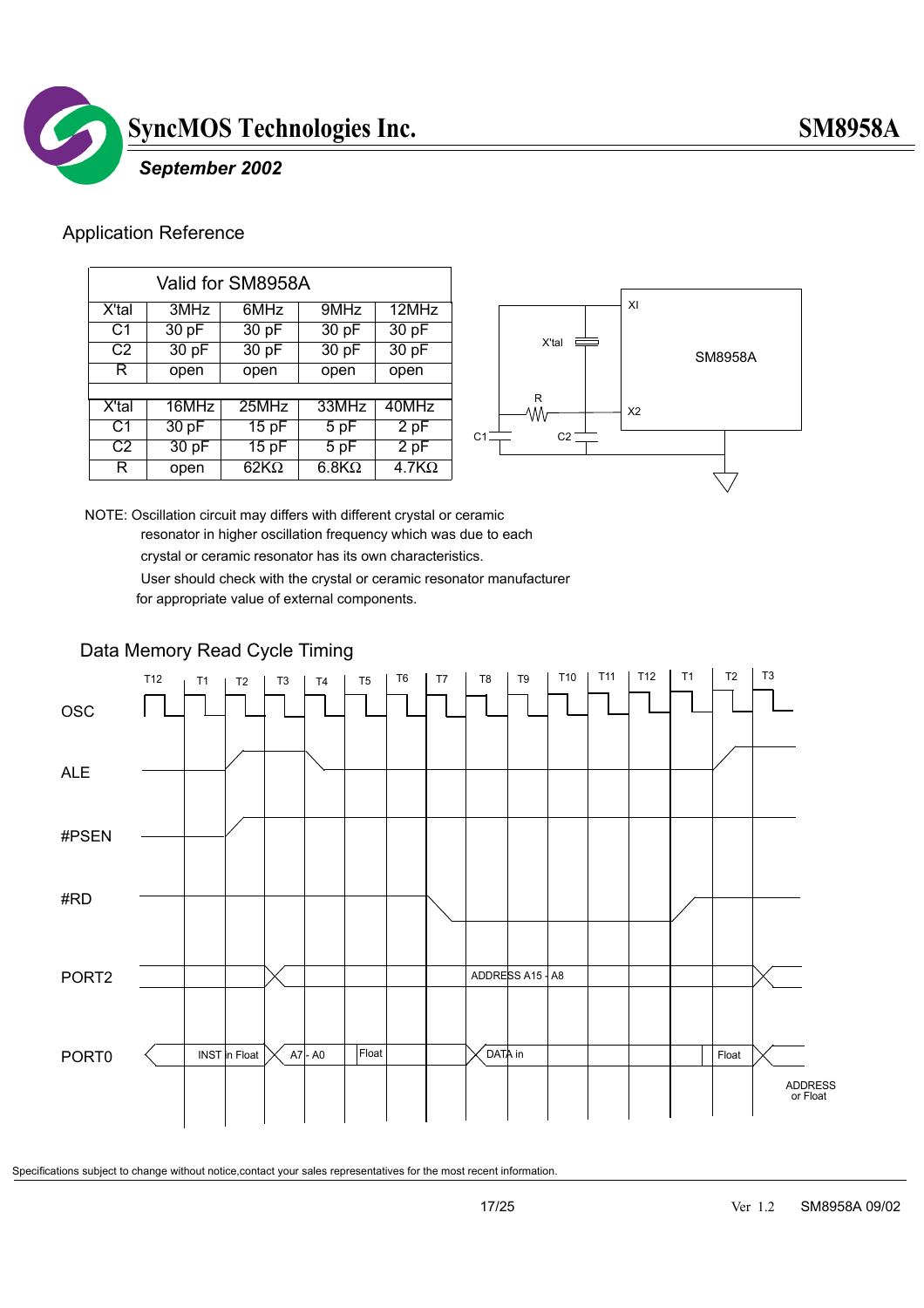

#### *September 2002*

#### Application Reference

| Valid for SM8958A |       |              |                   |              |
|-------------------|-------|--------------|-------------------|--------------|
| X'tal             | 3MHz  | 6MHz         | 9MHz              | 12MHz        |
| C <sub>1</sub>    | 30 pF | 30 pF        | 30pF              | 30 pF        |
| C <sub>2</sub>    | 30 pF | 30 pF        | 30 pF             | 30 pF        |
| R.                | open  | open         | open              | open         |
|                   |       |              |                   |              |
| X'tal             | 16MHz | 25MHz        | 33MHz             | 40MHz        |
| C <sub>1</sub>    | 30 pF | 15pF         | $\overline{5}$ pF | 2pF          |
| C <sub>2</sub>    | 30 pF | 15pF         | 5 pF              | 2pF          |
| R                 | open  | 62K $\Omega$ | $6.8K\Omega$      | $4.7K\Omega$ |



NOTE: Oscillation circuit may differs with different crystal or ceramic resonator in higher oscillation frequency which was due to each

crystal or ceramic resonator has its own characteristics.

 User should check with the crystal or ceramic resonator manufacturer for appropriate value of external components.

#### Data Memory Read Cycle Timing

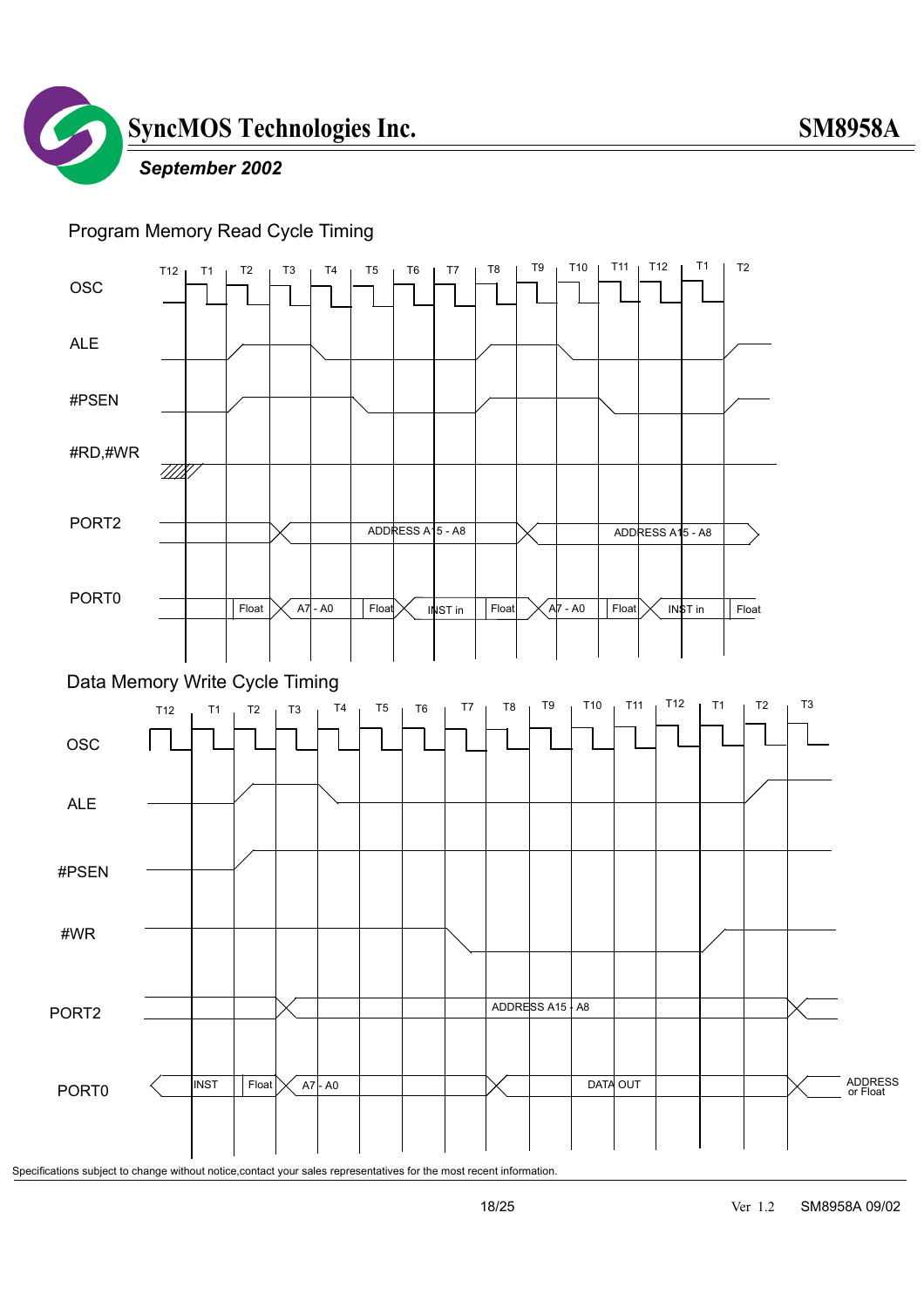![](_page_17_Picture_0.jpeg)

#### *September 2002*

#### Program Memory Read Cycle Timing

![](_page_17_Figure_4.jpeg)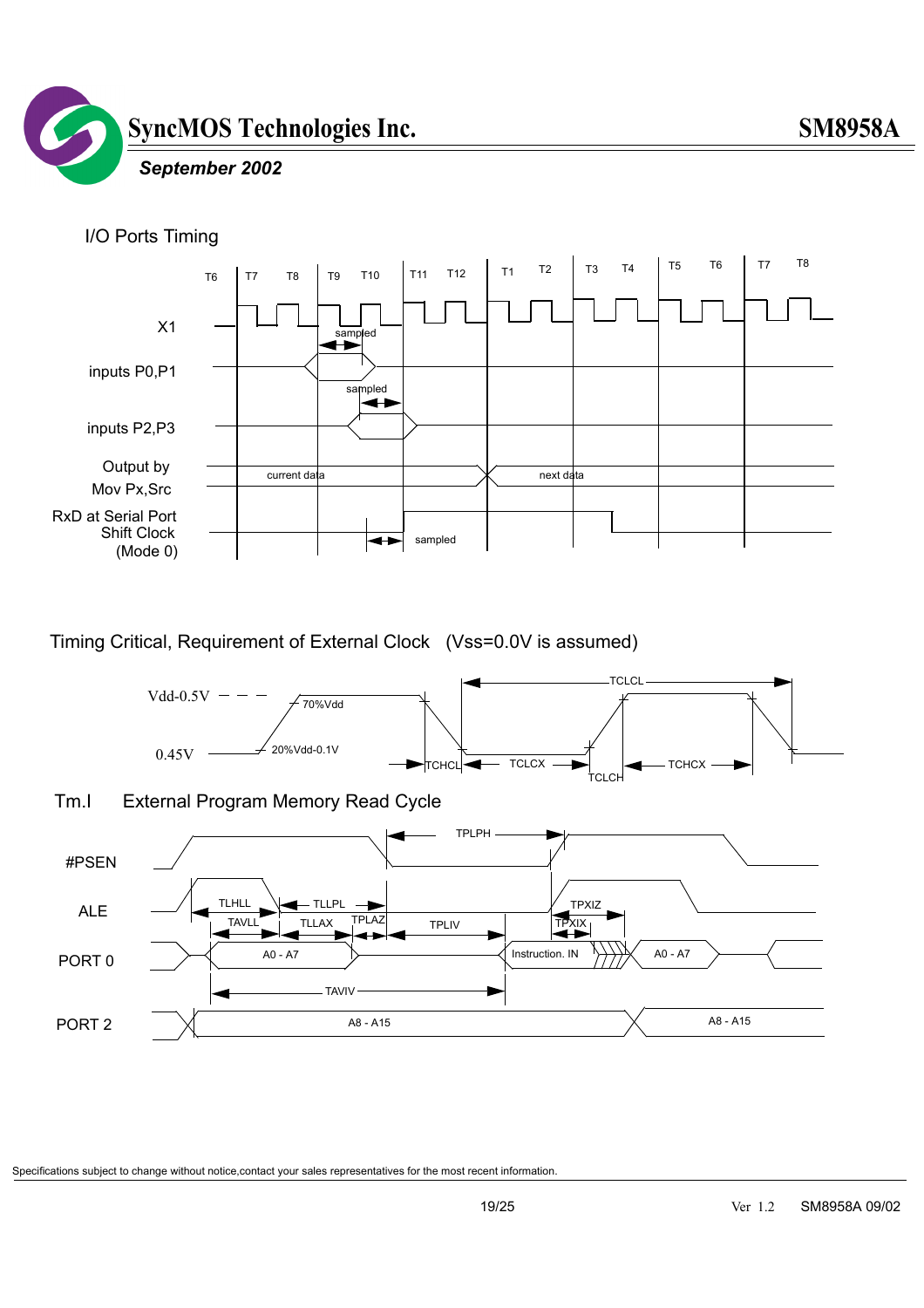![](_page_18_Picture_0.jpeg)

#### *September 2002*

![](_page_18_Figure_3.jpeg)

Timing Critical, Requirement of External Clock (Vss=0.0V is assumed)

![](_page_18_Figure_5.jpeg)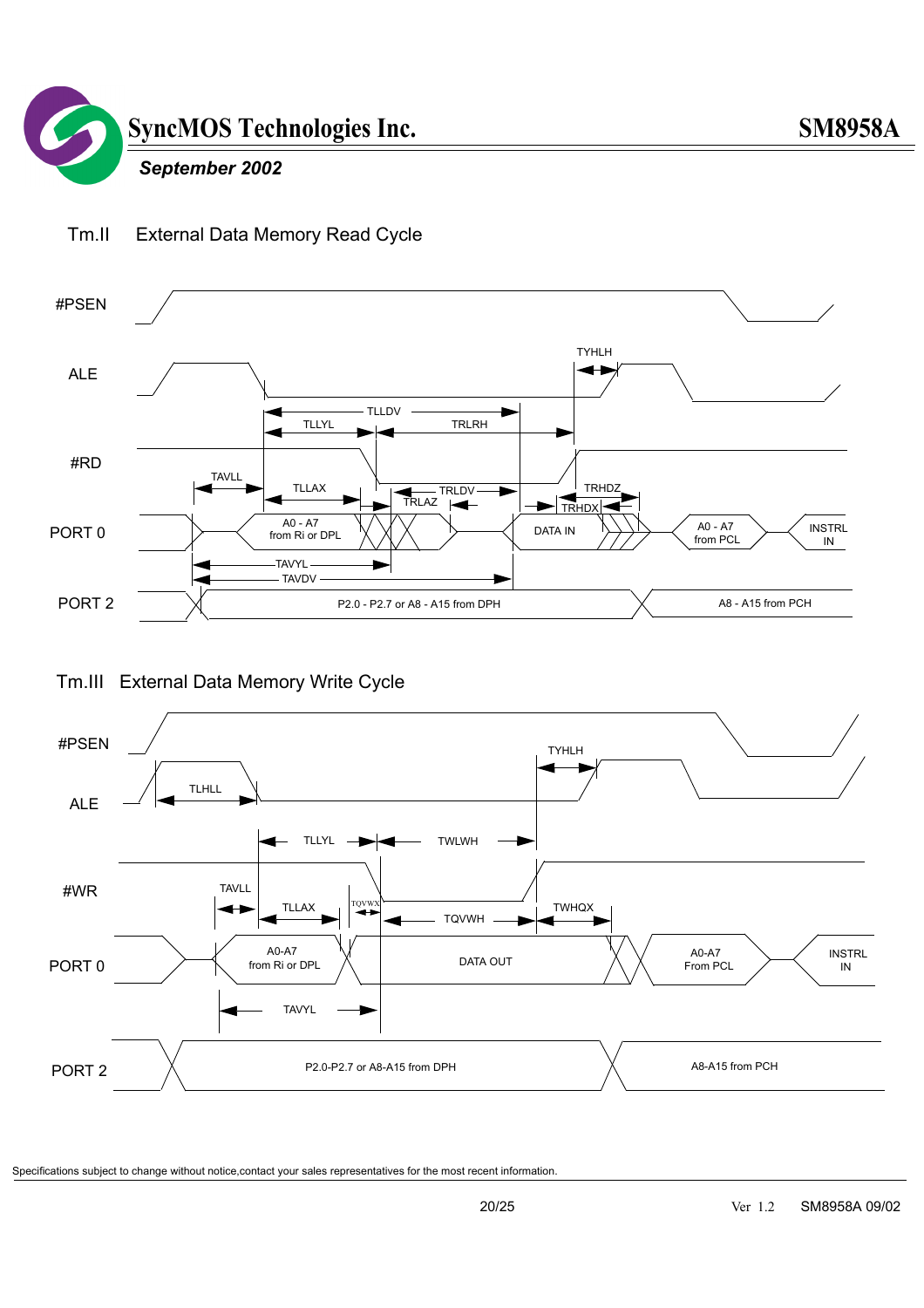![](_page_19_Figure_1.jpeg)

![](_page_19_Figure_2.jpeg)

#### Tm.II External Data Memory Read Cycle

Tm.III External Data Memory Write Cycle

![](_page_19_Figure_5.jpeg)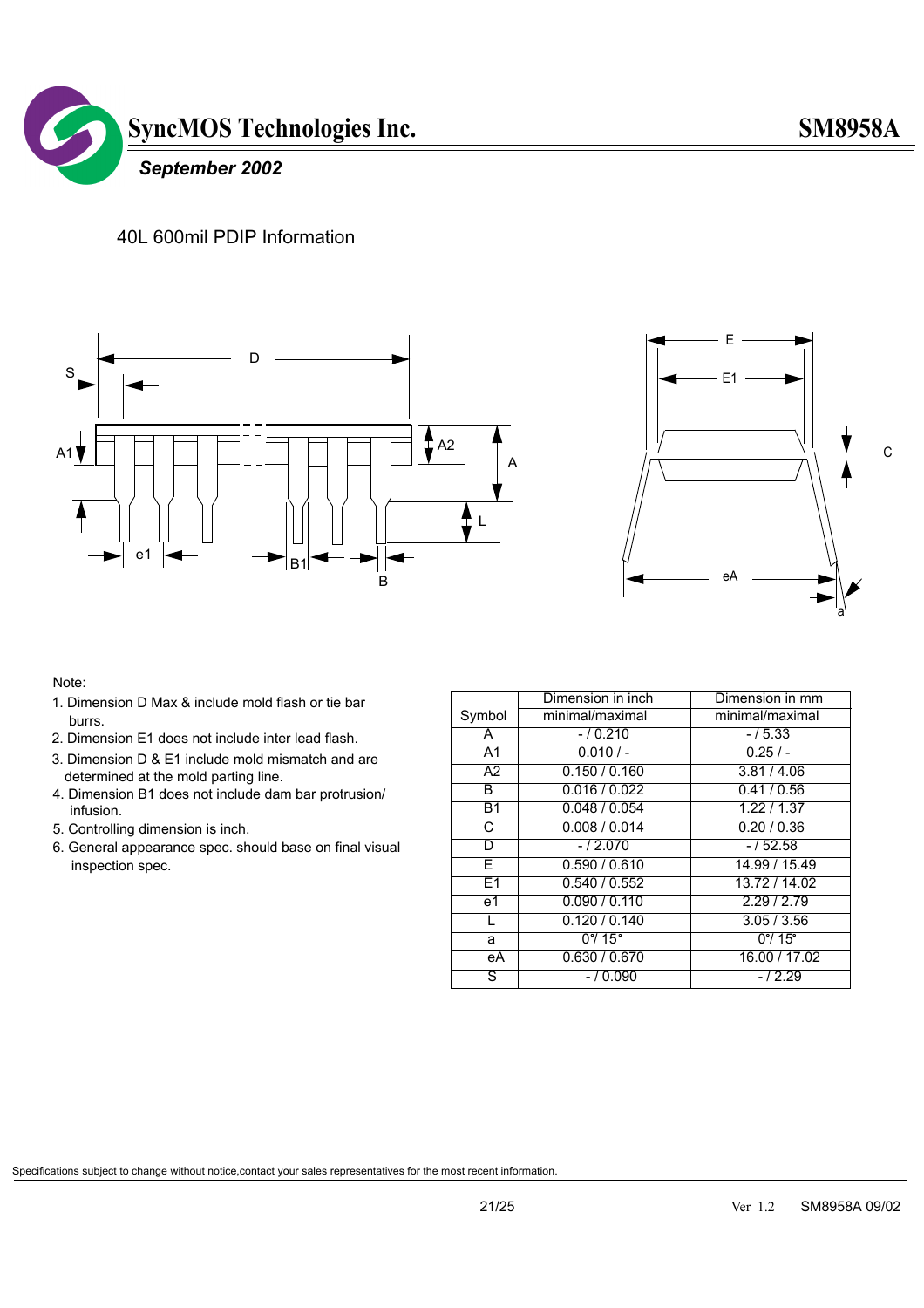![](_page_20_Picture_1.jpeg)

#### 40L 600mil PDIP Information

![](_page_20_Figure_3.jpeg)

![](_page_20_Figure_4.jpeg)

#### Note:

- 1. Dimension D Max & include mold flash or tie bar burrs.
- 2. Dimension E1 does not include inter lead flash.
- 3. Dimension D & E1 include mold mismatch and are determined at the mold parting line.
- 4. Dimension B1 does not include dam bar protrusion/ infusion.
- 5. Controlling dimension is inch.
- 6. General appearance spec. should base on final visual inspection spec.

|                 | Dimension in inch           | Dimension in mm         |
|-----------------|-----------------------------|-------------------------|
| Symbol          | minimal/maximal             | minimal/maximal         |
| A               | $-10.210$                   | $-15.33$                |
| $\overline{A1}$ | $0.010/-$                   | $0.25/ -$               |
| $\overline{A2}$ | 0.150 / 0.160               | 3.81 / 4.06             |
| B               | 0.016 / 0.022               | 0.41/0.56               |
| <b>B1</b>       | 0.048/0.054                 | 1.22 / 1.37             |
| C               | 0.008 / 0.014               | 0.20 / 0.36             |
| D               | $-12.070$                   | $-/52.58$               |
| Е               | 0.590 / 0.610               | 14.99 / 15.49           |
| E1              | 0.540 / 0.552               | 13.72 / 14.02           |
| e1              | 0.090 / 0.110               | 2.29 / 2.79             |
|                 | 0.120 / 0.140               | 3.05 / 3.56             |
| a               | $0^{\circ}$ / 15 $^{\circ}$ | $0^{\circ}/ 15^{\circ}$ |
| еA              | 0.630 / 0.670               | 16.00 / 17.02           |
| S               | $-10.090$                   | $-12.29$                |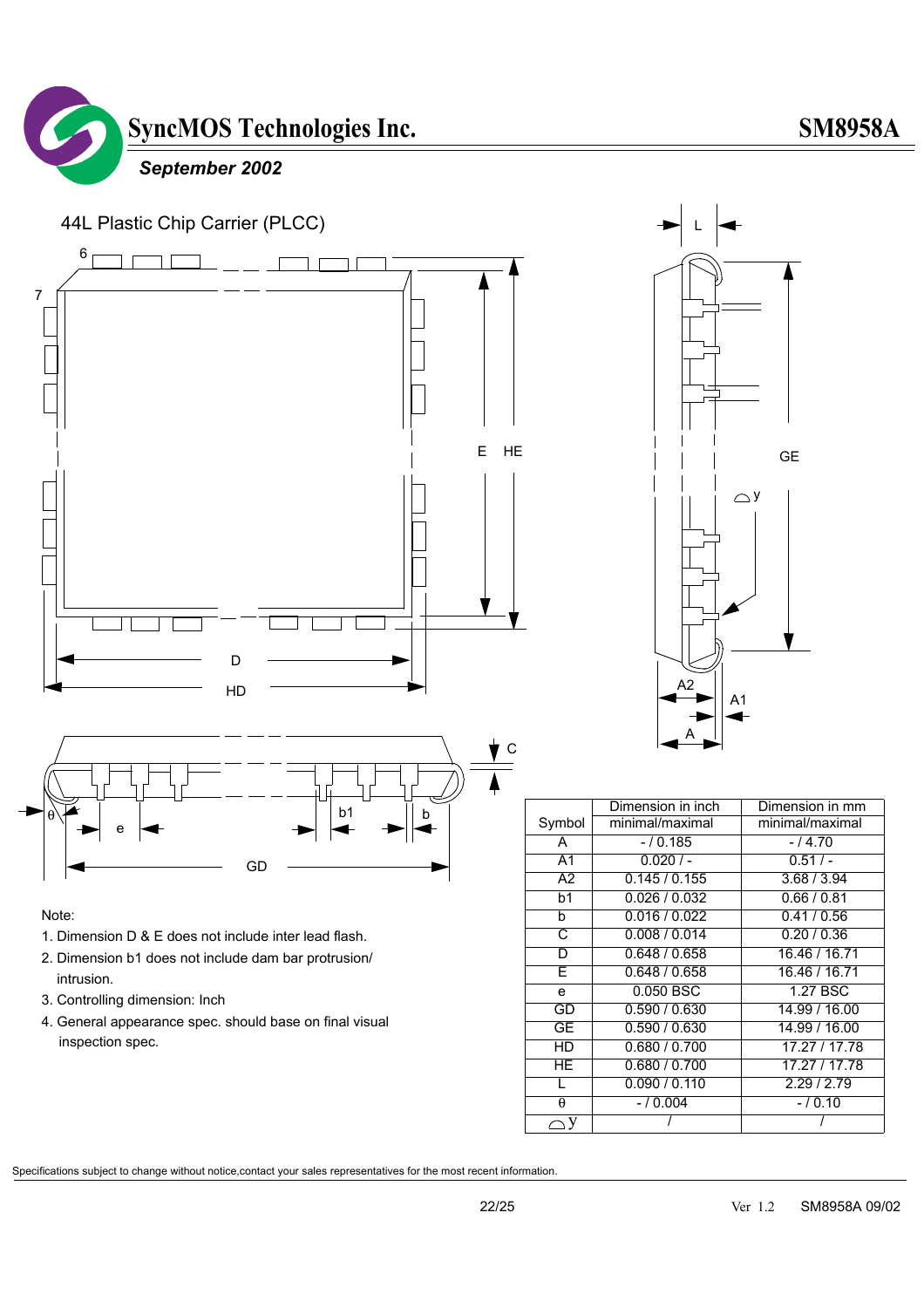![](_page_21_Picture_0.jpeg)

![](_page_21_Figure_1.jpeg)

#### Note:

- 1. Dimension D & E does not include inter lead flash.
- 2. Dimension b1 does not include dam bar protrusion/ intrusion.
- 3. Controlling dimension: Inch
- 4. General appearance spec. should base on final visual inspection spec.

![](_page_21_Figure_7.jpeg)

|                 | Dimension in inch | Dimension in mm |
|-----------------|-------------------|-----------------|
| Symbol          | minimal/maximal   | minimal/maximal |
| A               | $-10.185$         | $-14.70$        |
| $\overline{A1}$ | 0.020/            | 0.51/           |
| $\overline{A2}$ | 0.145/0.155       | 3.68 / 3.94     |
| b <sub>1</sub>  | 0.026/0.032       | 0.66/0.81       |
| b               | 0.016 / 0.022     | 0.41/0.56       |
| C               | 0.008 / 0.014     | 0.20/0.36       |
| D               | 0.648 / 0.658     | 16.46 / 16.71   |
| F               | 0.648 / 0.658     | 16.46 / 16.71   |
| e               | 0.050 BSC         | 1.27 BSC        |
| GD              | 0.590 / 0.630     | 14.99 / 16.00   |
| GE              | 0.590 / 0.630     | 14.99 / 16.00   |
| HD              | 0.680 / 0.700     | 17.27 / 17.78   |
| ΗE              | 0.680 / 0.700     | 17.27 / 17.78   |
|                 | 0.090 / 0.110     | 2.29/2.79       |
| θ               | $-10.004$         | $-10.10$        |
|                 |                   |                 |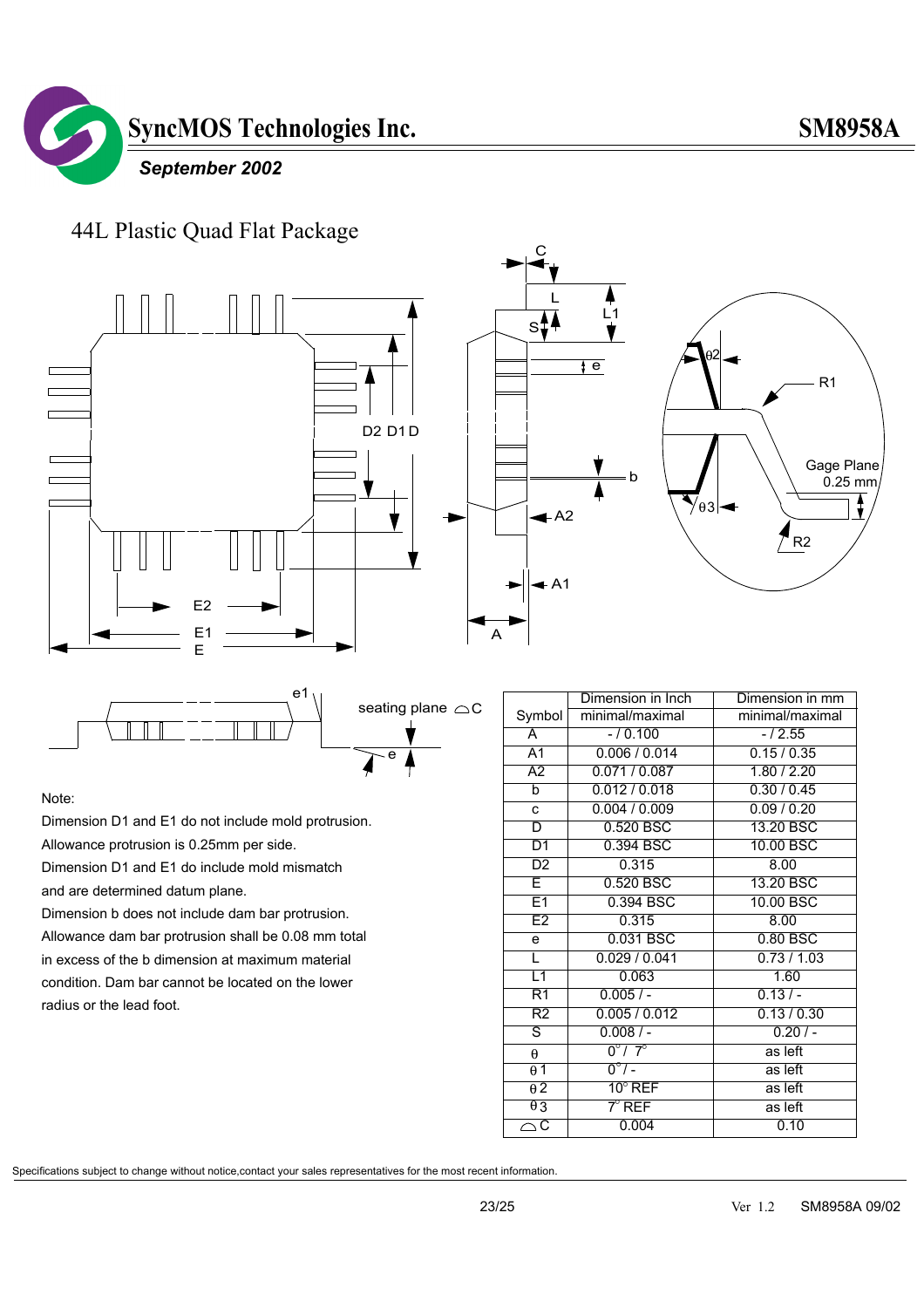![](_page_22_Picture_1.jpeg)

#### 44L Plastic Quad Flat Package

![](_page_22_Figure_3.jpeg)

![](_page_22_Figure_4.jpeg)

#### Note:

Dimension D1 and E1 do not include mold protrusion.

Allowance protrusion is 0.25mm per side.

Dimension D1 and E1 do include mold mismatch

and are determined datum plane.

Dimension b does not include dam bar protrusion. Allowance dam bar protrusion shall be 0.08 mm total in excess of the b dimension at maximum material condition. Dam bar cannot be located on the lower radius or the lead foot.

|                         | Dimension in Inch         | Dimension in mm |
|-------------------------|---------------------------|-----------------|
| Symbol                  | minimal/maximal           | minimal/maximal |
| A                       | $-10.100$                 | $-/2.55$        |
| A <sub>1</sub>          | 0.006 / 0.014             | 0.15/0.35       |
| $\overline{A2}$         | 0.071/0.087               | 1.80 / 2.20     |
| $\overline{b}$          | 0.012 / 0.018             | 0.30 / 0.45     |
| $\mathbf{c}$            | 0.004 / 0.009             | 0.09 / 0.20     |
| D                       | 0.520 BSC                 | 13.20 BSC       |
| D1                      | 0.394 BSC                 | 10.00 BSC       |
| D2                      | 0.315                     | 8.00            |
| E                       | 0.520 BSC                 | 13.20 BSC       |
| E1                      | 0.394 BSC                 | 10.00 BSC       |
| E2                      | 0.315                     | 8.00            |
| e                       | 0.031 BSC                 | $0.80$ BSC      |
| τ                       | 0.029/0.041               | 0.73/1.03       |
| L1                      | 0.063                     | 1.60            |
| R1                      | 0.005/                    | $0.13/-$        |
| R2                      | 0.005/0.012               | 0.13 / 0.30     |
| ड                       | $0.008/$ -                | 0.20/           |
| $\theta$                | $0^{\circ}$ / $7^{\circ}$ | as left         |
| $\theta$ 1              | $0^{\circ}/$ -            | as left         |
| $\overline{\theta}$ 2   | $10^{\circ}$ REF          | as left         |
| $\theta$ 3              | $7^\circ$ Ref             | as left         |
| $\overline{\mathsf{C}}$ | 0.004                     | 0.10            |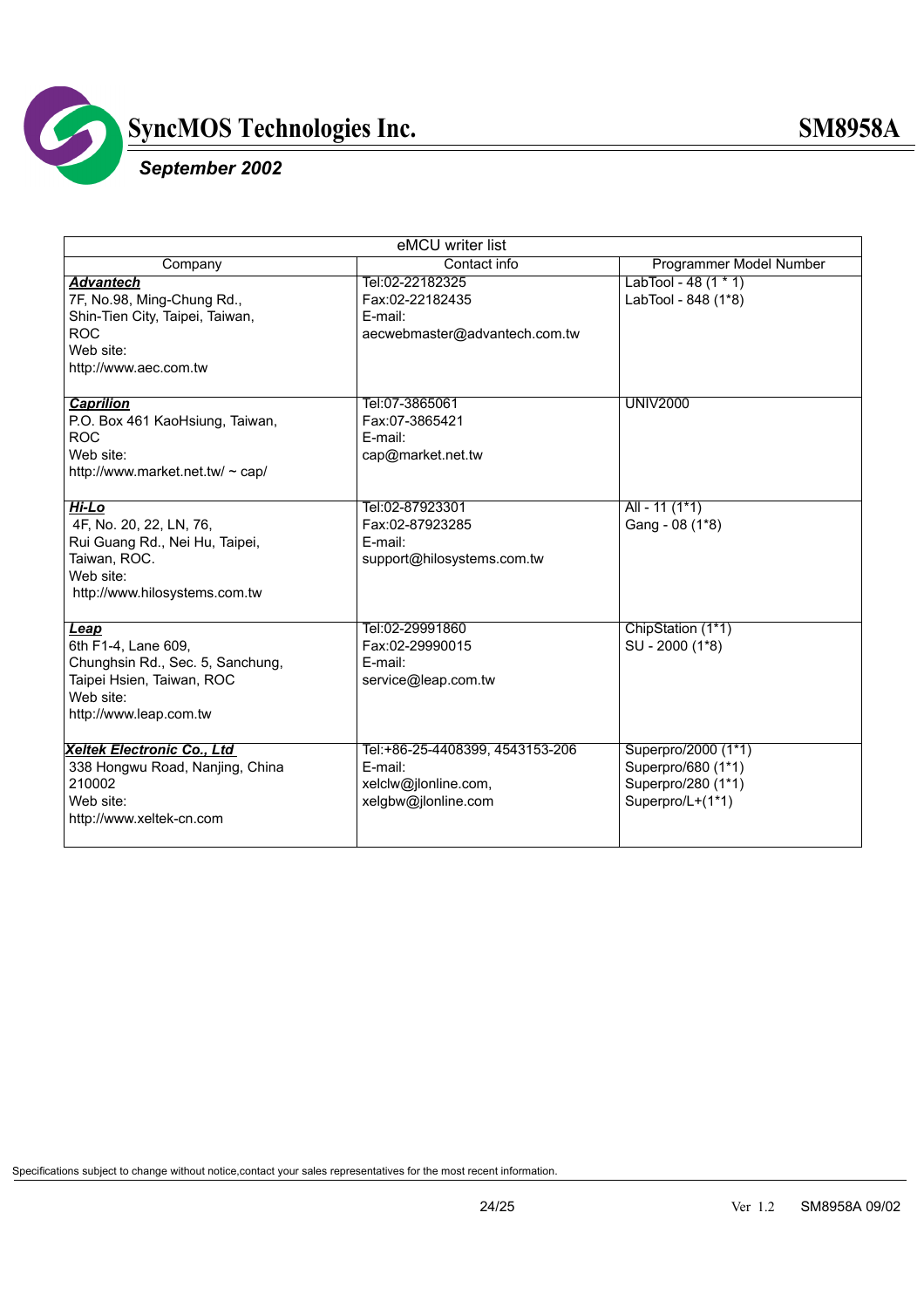![](_page_23_Picture_0.jpeg)

### *September 2002*

| eMCU writer list                 |                                 |                         |  |
|----------------------------------|---------------------------------|-------------------------|--|
| Company                          | Contact info                    | Programmer Model Number |  |
| <b>Advantech</b>                 | Tel:02-22182325                 | LabTool - 48 $(1 * 1)$  |  |
| 7F, No.98, Ming-Chung Rd.,       | Fax:02-22182435                 | LabTool - 848 (1*8)     |  |
| Shin-Tien City, Taipei, Taiwan,  | E-mail:                         |                         |  |
| <b>ROC</b>                       | aecwebmaster@advantech.com.tw   |                         |  |
| Web site:                        |                                 |                         |  |
| http://www.aec.com.tw            |                                 |                         |  |
|                                  |                                 |                         |  |
| <b>Caprilion</b>                 | Tel:07-3865061                  | <b>UNIV2000</b>         |  |
| P.O. Box 461 KaoHsiung, Taiwan,  | Fax:07-3865421                  |                         |  |
| <b>ROC</b>                       | E-mail:                         |                         |  |
| Web site:                        | cap@market.net.tw               |                         |  |
| http://www.market.net.tw/ ~ cap/ |                                 |                         |  |
|                                  |                                 |                         |  |
| Hi-Lo                            | Tel:02-87923301                 | All - 11 $(1*1)$        |  |
| 4F, No. 20, 22, LN, 76,          | Fax:02-87923285                 | Gang - 08 (1*8)         |  |
| Rui Guang Rd., Nei Hu, Taipei,   | E-mail:                         |                         |  |
| Taiwan, ROC.                     | support@hilosystems.com.tw      |                         |  |
| Web site:                        |                                 |                         |  |
| http://www.hilosystems.com.tw    |                                 |                         |  |
|                                  |                                 |                         |  |
| Leap                             | Tel:02-29991860                 | ChipStation (1*1)       |  |
| 6th F1-4, Lane 609,              | Fax:02-29990015                 | SU - 2000 (1*8)         |  |
| Chunghsin Rd., Sec. 5, Sanchung, | E-mail:                         |                         |  |
| Taipei Hsien, Taiwan, ROC        | service@leap.com.tw             |                         |  |
| Web site:                        |                                 |                         |  |
| http://www.leap.com.tw           |                                 |                         |  |
|                                  |                                 |                         |  |
| Xeltek Electronic Co., Ltd       | Tel:+86-25-4408399, 4543153-206 | Superpro/2000 (1*1)     |  |
| 338 Hongwu Road, Nanjing, China  | E-mail:                         | Superpro/680 (1*1)      |  |
| 210002                           | xelclw@jlonline.com,            | Superpro/280 (1*1)      |  |
| Web site:                        | xelgbw@jlonline.com             | Superpro/L+(1*1)        |  |
| http://www.xeltek-cn.com         |                                 |                         |  |
|                                  |                                 |                         |  |